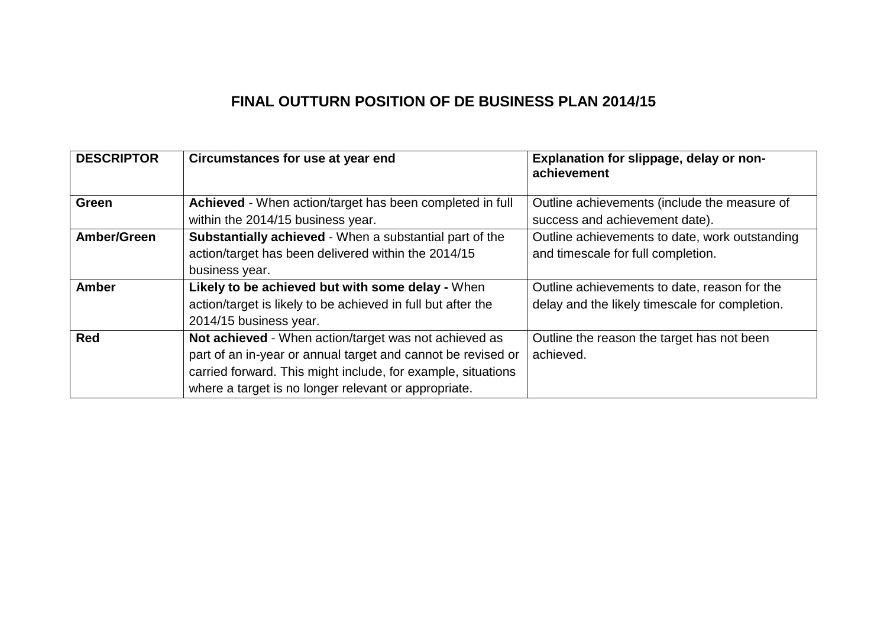# **FINAL OUTTURN POSITION OF DE BUSINESS PLAN 2014/15**

| <b>DESCRIPTOR</b> | Circumstances for use at year end                              | Explanation for slippage, delay or non-<br>achievement |
|-------------------|----------------------------------------------------------------|--------------------------------------------------------|
| <b>Green</b>      | Achieved - When action/target has been completed in full       | Outline achievements (include the measure of           |
|                   | within the 2014/15 business year.                              | success and achievement date).                         |
| Amber/Green       | <b>Substantially achieved - When a substantial part of the</b> | Outline achievements to date, work outstanding         |
|                   | action/target has been delivered within the 2014/15            | and timescale for full completion.                     |
|                   | business year.                                                 |                                                        |
| <b>Amber</b>      | Likely to be achieved but with some delay - When               | Outline achievements to date, reason for the           |
|                   | action/target is likely to be achieved in full but after the   | delay and the likely timescale for completion.         |
|                   | 2014/15 business year.                                         |                                                        |
| <b>Red</b>        | Not achieved - When action/target was not achieved as          | Outline the reason the target has not been             |
|                   | part of an in-year or annual target and cannot be revised or   | achieved.                                              |
|                   | carried forward. This might include, for example, situations   |                                                        |
|                   | where a target is no longer relevant or appropriate.           |                                                        |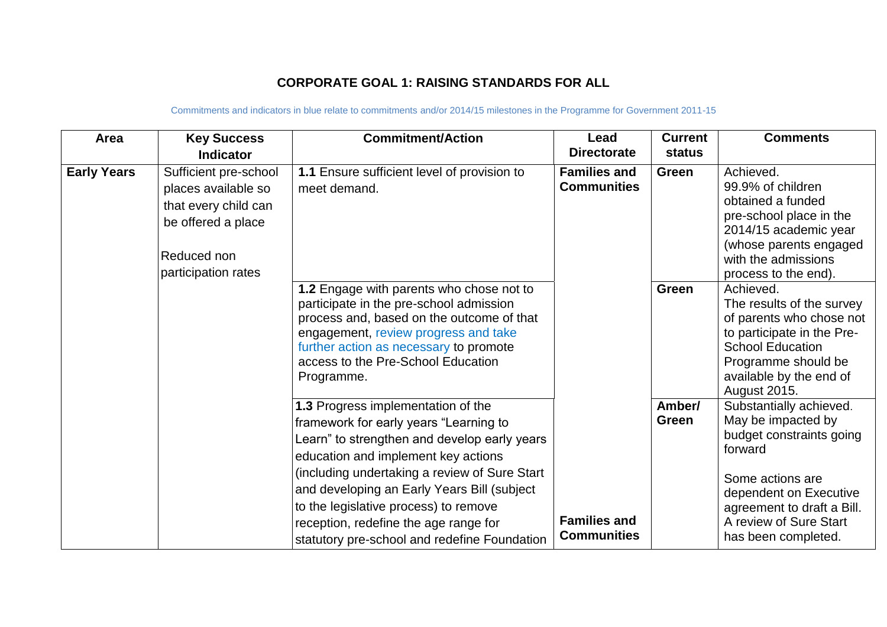## **CORPORATE GOAL 1: RAISING STANDARDS FOR ALL**

| Area               | <b>Key Success</b><br><b>Indicator</b>                                                                                           | <b>Commitment/Action</b>                                                                                                                                                                                                                                                                                                                                                                              | Lead<br><b>Directorate</b>                | <b>Current</b><br>status | <b>Comments</b>                                                                                                                                                                                                   |
|--------------------|----------------------------------------------------------------------------------------------------------------------------------|-------------------------------------------------------------------------------------------------------------------------------------------------------------------------------------------------------------------------------------------------------------------------------------------------------------------------------------------------------------------------------------------------------|-------------------------------------------|--------------------------|-------------------------------------------------------------------------------------------------------------------------------------------------------------------------------------------------------------------|
| <b>Early Years</b> | Sufficient pre-school<br>places available so<br>that every child can<br>be offered a place<br>Reduced non<br>participation rates | 1.1 Ensure sufficient level of provision to<br>meet demand.                                                                                                                                                                                                                                                                                                                                           | <b>Families and</b><br><b>Communities</b> | Green                    | Achieved.<br>99.9% of children<br>obtained a funded<br>pre-school place in the<br>2014/15 academic year<br>(whose parents engaged<br>with the admissions<br>process to the end).                                  |
|                    |                                                                                                                                  | 1.2 Engage with parents who chose not to<br>participate in the pre-school admission<br>process and, based on the outcome of that<br>engagement, review progress and take<br>further action as necessary to promote<br>access to the Pre-School Education<br>Programme.                                                                                                                                |                                           | <b>Green</b>             | Achieved.<br>The results of the survey<br>of parents who chose not<br>to participate in the Pre-<br><b>School Education</b><br>Programme should be<br>available by the end of<br>August 2015.                     |
|                    |                                                                                                                                  | 1.3 Progress implementation of the<br>framework for early years "Learning to<br>Learn" to strengthen and develop early years<br>education and implement key actions<br>(including undertaking a review of Sure Start<br>and developing an Early Years Bill (subject<br>to the legislative process) to remove<br>reception, redefine the age range for<br>statutory pre-school and redefine Foundation | <b>Families and</b><br><b>Communities</b> | Amber/<br><b>Green</b>   | Substantially achieved.<br>May be impacted by<br>budget constraints going<br>forward<br>Some actions are<br>dependent on Executive<br>agreement to draft a Bill.<br>A review of Sure Start<br>has been completed. |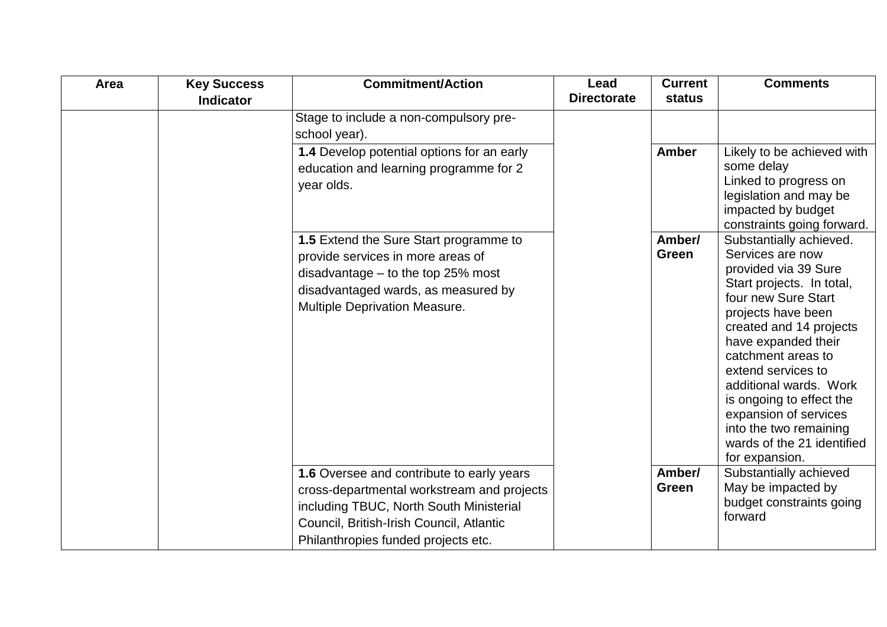| Area | <b>Key Success</b><br><b>Indicator</b> | <b>Commitment/Action</b>                                                                                                                                                                                              | Lead<br><b>Directorate</b> | <b>Current</b><br>status | <b>Comments</b>                                                                                                                                                                                                                                                                                                                                                                                      |
|------|----------------------------------------|-----------------------------------------------------------------------------------------------------------------------------------------------------------------------------------------------------------------------|----------------------------|--------------------------|------------------------------------------------------------------------------------------------------------------------------------------------------------------------------------------------------------------------------------------------------------------------------------------------------------------------------------------------------------------------------------------------------|
|      |                                        | Stage to include a non-compulsory pre-<br>school year).                                                                                                                                                               |                            |                          |                                                                                                                                                                                                                                                                                                                                                                                                      |
|      |                                        | 1.4 Develop potential options for an early<br>education and learning programme for 2<br>year olds.                                                                                                                    |                            | <b>Amber</b>             | Likely to be achieved with<br>some delay<br>Linked to progress on<br>legislation and may be<br>impacted by budget<br>constraints going forward.                                                                                                                                                                                                                                                      |
|      |                                        | 1.5 Extend the Sure Start programme to<br>provide services in more areas of<br>disadvantage $-$ to the top 25% most<br>disadvantaged wards, as measured by<br>Multiple Deprivation Measure.                           |                            | Amber/<br>Green          | Substantially achieved.<br>Services are now<br>provided via 39 Sure<br>Start projects. In total,<br>four new Sure Start<br>projects have been<br>created and 14 projects<br>have expanded their<br>catchment areas to<br>extend services to<br>additional wards. Work<br>is ongoing to effect the<br>expansion of services<br>into the two remaining<br>wards of the 21 identified<br>for expansion. |
|      |                                        | 1.6 Oversee and contribute to early years<br>cross-departmental workstream and projects<br>including TBUC, North South Ministerial<br>Council, British-Irish Council, Atlantic<br>Philanthropies funded projects etc. |                            | Amber/<br>Green          | Substantially achieved<br>May be impacted by<br>budget constraints going<br>forward                                                                                                                                                                                                                                                                                                                  |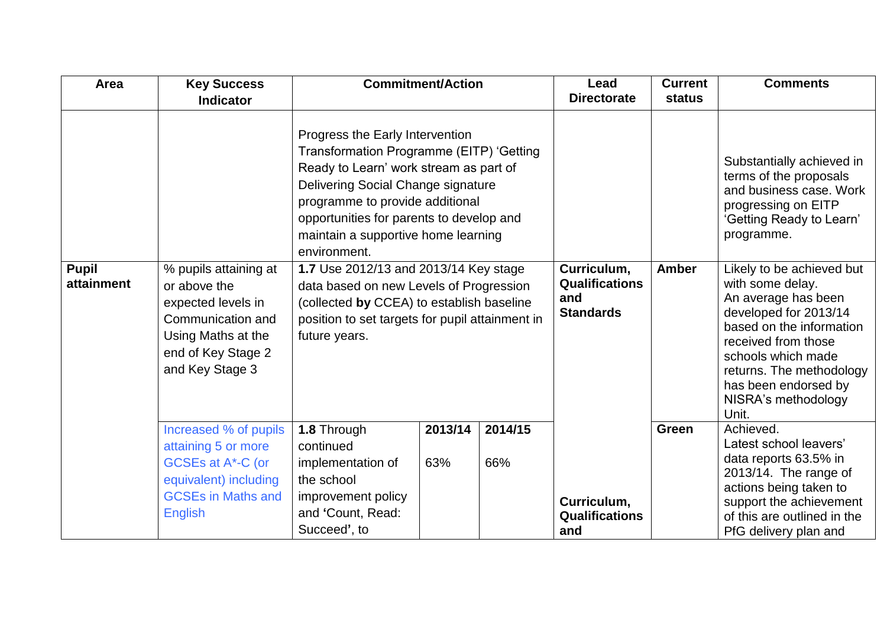| Area                       | <b>Key Success</b>                                                                                                                              |                                                                                                                                                                                                                                                                                                   | <b>Commitment/Action</b> |         | Lead                                                            | <b>Current</b> | <b>Comments</b>                                                                                                                                                                                                                                            |
|----------------------------|-------------------------------------------------------------------------------------------------------------------------------------------------|---------------------------------------------------------------------------------------------------------------------------------------------------------------------------------------------------------------------------------------------------------------------------------------------------|--------------------------|---------|-----------------------------------------------------------------|----------------|------------------------------------------------------------------------------------------------------------------------------------------------------------------------------------------------------------------------------------------------------------|
|                            | <b>Indicator</b>                                                                                                                                |                                                                                                                                                                                                                                                                                                   |                          |         | <b>Directorate</b>                                              | status         |                                                                                                                                                                                                                                                            |
|                            |                                                                                                                                                 | Progress the Early Intervention<br>Transformation Programme (EITP) 'Getting<br>Ready to Learn' work stream as part of<br>Delivering Social Change signature<br>programme to provide additional<br>opportunities for parents to develop and<br>maintain a supportive home learning<br>environment. |                          |         |                                                                 |                | Substantially achieved in<br>terms of the proposals<br>and business case. Work<br>progressing on EITP<br>'Getting Ready to Learn'<br>programme.                                                                                                            |
| <b>Pupil</b><br>attainment | % pupils attaining at<br>or above the<br>expected levels in<br>Communication and<br>Using Maths at the<br>end of Key Stage 2<br>and Key Stage 3 | 1.7 Use 2012/13 and 2013/14 Key stage<br>data based on new Levels of Progression<br>(collected by CCEA) to establish baseline<br>position to set targets for pupil attainment in<br>future years.                                                                                                 |                          |         | Curriculum,<br><b>Qualifications</b><br>and<br><b>Standards</b> | <b>Amber</b>   | Likely to be achieved but<br>with some delay.<br>An average has been<br>developed for 2013/14<br>based on the information<br>received from those<br>schools which made<br>returns. The methodology<br>has been endorsed by<br>NISRA's methodology<br>Unit. |
|                            | Increased % of pupils                                                                                                                           | 1.8 Through                                                                                                                                                                                                                                                                                       | 2013/14                  | 2014/15 |                                                                 | Green          | Achieved.<br>Latest school leavers'                                                                                                                                                                                                                        |
|                            | attaining 5 or more<br>GCSEs at A*-C (or<br>equivalent) including<br><b>GCSEs in Maths and</b>                                                  | continued<br>implementation of<br>the school<br>improvement policy                                                                                                                                                                                                                                | 63%                      | 66%     | Curriculum,                                                     |                | data reports 63.5% in<br>2013/14. The range of<br>actions being taken to<br>support the achievement                                                                                                                                                        |
|                            | <b>English</b>                                                                                                                                  | and 'Count, Read:<br>Succeed', to                                                                                                                                                                                                                                                                 |                          |         | <b>Qualifications</b><br>and                                    |                | of this are outlined in the<br>PfG delivery plan and                                                                                                                                                                                                       |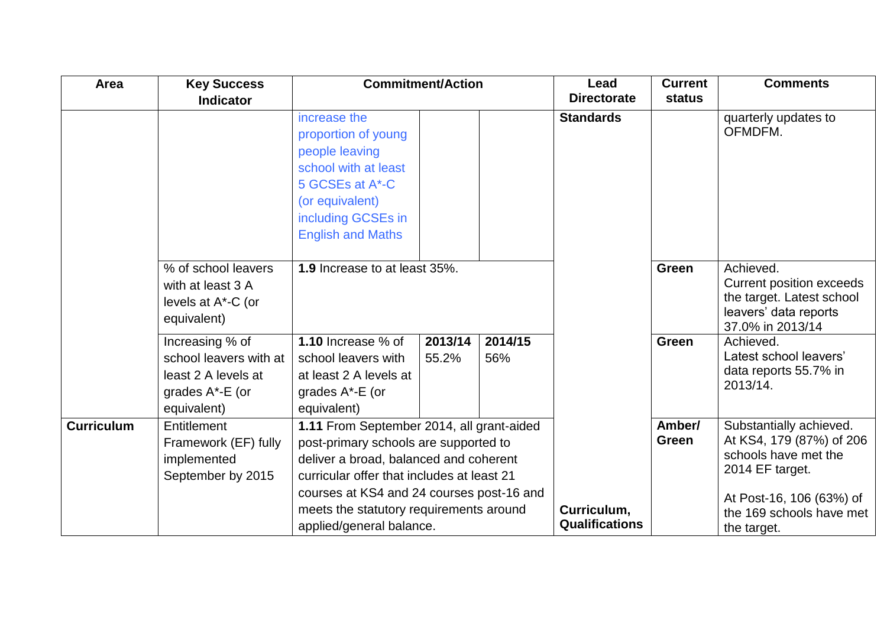| Area              | <b>Key Success</b><br><b>Indicator</b>                                                             |                                                                                                                                                                                                                                                                                                | <b>Commitment/Action</b> |                | Lead<br><b>Directorate</b>           | <b>Current</b><br>status | <b>Comments</b>                                                                                                                                                       |
|-------------------|----------------------------------------------------------------------------------------------------|------------------------------------------------------------------------------------------------------------------------------------------------------------------------------------------------------------------------------------------------------------------------------------------------|--------------------------|----------------|--------------------------------------|--------------------------|-----------------------------------------------------------------------------------------------------------------------------------------------------------------------|
|                   |                                                                                                    | increase the<br>proportion of young<br>people leaving<br>school with at least<br>5 GCSEs at A*-C<br>(or equivalent)<br>including GCSEs in<br><b>English and Maths</b>                                                                                                                          |                          |                | <b>Standards</b>                     |                          | quarterly updates to<br>OFMDFM.                                                                                                                                       |
|                   | % of school leavers<br>with at least 3 A<br>levels at A*-C (or<br>equivalent)                      | 1.9 Increase to at least 35%.                                                                                                                                                                                                                                                                  |                          |                |                                      | <b>Green</b>             | Achieved.<br><b>Current position exceeds</b><br>the target. Latest school<br>leavers' data reports<br>37.0% in 2013/14                                                |
|                   | Increasing % of<br>school leavers with at<br>least 2 A levels at<br>grades A*-E (or<br>equivalent) | 1.10 Increase % of<br>school leavers with<br>at least 2 A levels at<br>grades A*-E (or<br>equivalent)                                                                                                                                                                                          | 2013/14<br>55.2%         | 2014/15<br>56% |                                      | <b>Green</b>             | Achieved.<br>Latest school leavers'<br>data reports 55.7% in<br>2013/14.                                                                                              |
| <b>Curriculum</b> | Entitlement<br>Framework (EF) fully<br>implemented<br>September by 2015                            | 1.11 From September 2014, all grant-aided<br>post-primary schools are supported to<br>deliver a broad, balanced and coherent<br>curricular offer that includes at least 21<br>courses at KS4 and 24 courses post-16 and<br>meets the statutory requirements around<br>applied/general balance. |                          |                | Curriculum,<br><b>Qualifications</b> | Amber/<br>Green          | Substantially achieved.<br>At KS4, 179 (87%) of 206<br>schools have met the<br>2014 EF target.<br>At Post-16, 106 (63%) of<br>the 169 schools have met<br>the target. |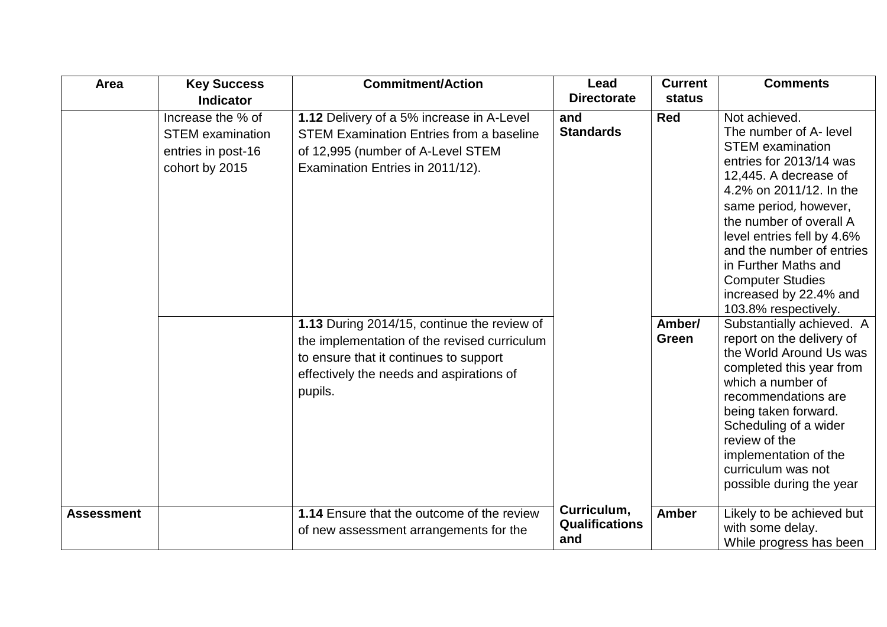| Area              | <b>Key Success</b>                                                                   | <b>Commitment/Action</b>                                                                                                                                                                     | Lead                                        | <b>Current</b>  | <b>Comments</b>                                                                                                                                                                                                                                                                                                                                                       |
|-------------------|--------------------------------------------------------------------------------------|----------------------------------------------------------------------------------------------------------------------------------------------------------------------------------------------|---------------------------------------------|-----------------|-----------------------------------------------------------------------------------------------------------------------------------------------------------------------------------------------------------------------------------------------------------------------------------------------------------------------------------------------------------------------|
|                   | <b>Indicator</b>                                                                     |                                                                                                                                                                                              | <b>Directorate</b>                          | status          |                                                                                                                                                                                                                                                                                                                                                                       |
|                   | Increase the % of<br><b>STEM</b> examination<br>entries in post-16<br>cohort by 2015 | 1.12 Delivery of a 5% increase in A-Level<br><b>STEM Examination Entries from a baseline</b><br>of 12,995 (number of A-Level STEM<br>Examination Entries in 2011/12).                        | and<br><b>Standards</b>                     | <b>Red</b>      | Not achieved.<br>The number of A- level<br><b>STEM</b> examination<br>entries for 2013/14 was<br>12,445. A decrease of<br>4.2% on 2011/12. In the<br>same period, however,<br>the number of overall A<br>level entries fell by 4.6%<br>and the number of entries<br>in Further Maths and<br><b>Computer Studies</b><br>increased by 22.4% and<br>103.8% respectively. |
|                   |                                                                                      | 1.13 During 2014/15, continue the review of<br>the implementation of the revised curriculum<br>to ensure that it continues to support<br>effectively the needs and aspirations of<br>pupils. |                                             | Amber/<br>Green | Substantially achieved. A<br>report on the delivery of<br>the World Around Us was<br>completed this year from<br>which a number of<br>recommendations are<br>being taken forward.<br>Scheduling of a wider<br>review of the<br>implementation of the<br>curriculum was not<br>possible during the year                                                                |
| <b>Assessment</b> |                                                                                      | <b>1.14</b> Ensure that the outcome of the review<br>of new assessment arrangements for the                                                                                                  | Curriculum,<br><b>Qualifications</b><br>and | <b>Amber</b>    | Likely to be achieved but<br>with some delay.<br>While progress has been                                                                                                                                                                                                                                                                                              |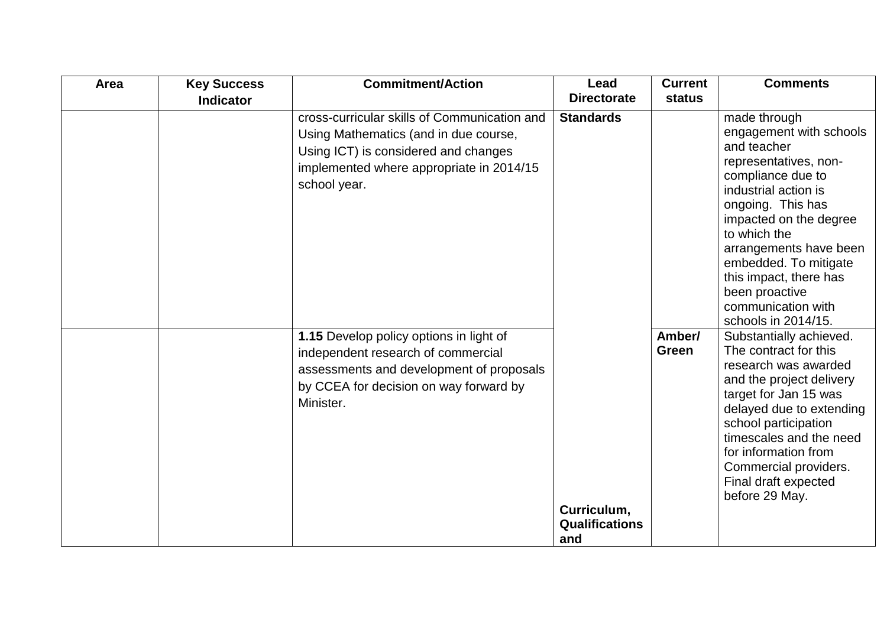| Area | <b>Key Success</b> | <b>Commitment/Action</b>                                                                                                                                                                  | Lead                                        | <b>Current</b>  | <b>Comments</b>                                                                                                                                                                                                                                                                                                                         |
|------|--------------------|-------------------------------------------------------------------------------------------------------------------------------------------------------------------------------------------|---------------------------------------------|-----------------|-----------------------------------------------------------------------------------------------------------------------------------------------------------------------------------------------------------------------------------------------------------------------------------------------------------------------------------------|
|      | <b>Indicator</b>   |                                                                                                                                                                                           | <b>Directorate</b>                          | status          |                                                                                                                                                                                                                                                                                                                                         |
|      |                    | cross-curricular skills of Communication and<br>Using Mathematics (and in due course,<br>Using ICT) is considered and changes<br>implemented where appropriate in 2014/15<br>school year. | <b>Standards</b>                            |                 | made through<br>engagement with schools<br>and teacher<br>representatives, non-<br>compliance due to<br>industrial action is<br>ongoing. This has<br>impacted on the degree<br>to which the<br>arrangements have been<br>embedded. To mitigate<br>this impact, there has<br>been proactive<br>communication with<br>schools in 2014/15. |
|      |                    | 1.15 Develop policy options in light of<br>independent research of commercial<br>assessments and development of proposals<br>by CCEA for decision on way forward by<br>Minister.          | Curriculum,<br><b>Qualifications</b><br>and | Amber/<br>Green | Substantially achieved.<br>The contract for this<br>research was awarded<br>and the project delivery<br>target for Jan 15 was<br>delayed due to extending<br>school participation<br>timescales and the need<br>for information from<br>Commercial providers.<br>Final draft expected<br>before 29 May.                                 |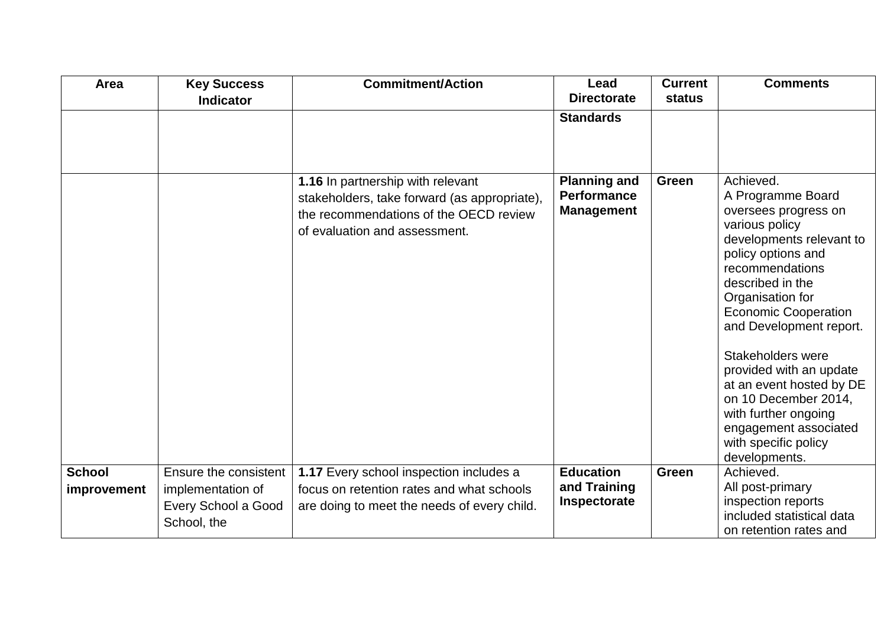| Area                         | <b>Key Success</b><br><b>Indicator</b>                                           | <b>Commitment/Action</b>                                                                                                                                     | Lead<br><b>Directorate</b>                                     | <b>Current</b><br><b>status</b> | <b>Comments</b>                                                                                                                                                                                                                                                                                                                                                                                                                               |
|------------------------------|----------------------------------------------------------------------------------|--------------------------------------------------------------------------------------------------------------------------------------------------------------|----------------------------------------------------------------|---------------------------------|-----------------------------------------------------------------------------------------------------------------------------------------------------------------------------------------------------------------------------------------------------------------------------------------------------------------------------------------------------------------------------------------------------------------------------------------------|
|                              |                                                                                  |                                                                                                                                                              | <b>Standards</b>                                               |                                 |                                                                                                                                                                                                                                                                                                                                                                                                                                               |
|                              |                                                                                  | 1.16 In partnership with relevant<br>stakeholders, take forward (as appropriate),<br>the recommendations of the OECD review<br>of evaluation and assessment. | <b>Planning and</b><br><b>Performance</b><br><b>Management</b> | Green                           | Achieved.<br>A Programme Board<br>oversees progress on<br>various policy<br>developments relevant to<br>policy options and<br>recommendations<br>described in the<br>Organisation for<br><b>Economic Cooperation</b><br>and Development report.<br>Stakeholders were<br>provided with an update<br>at an event hosted by DE<br>on 10 December 2014,<br>with further ongoing<br>engagement associated<br>with specific policy<br>developments. |
| <b>School</b><br>improvement | Ensure the consistent<br>implementation of<br>Every School a Good<br>School, the | 1.17 Every school inspection includes a<br>focus on retention rates and what schools<br>are doing to meet the needs of every child.                          | <b>Education</b><br>and Training<br>Inspectorate               | <b>Green</b>                    | Achieved.<br>All post-primary<br>inspection reports<br>included statistical data<br>on retention rates and                                                                                                                                                                                                                                                                                                                                    |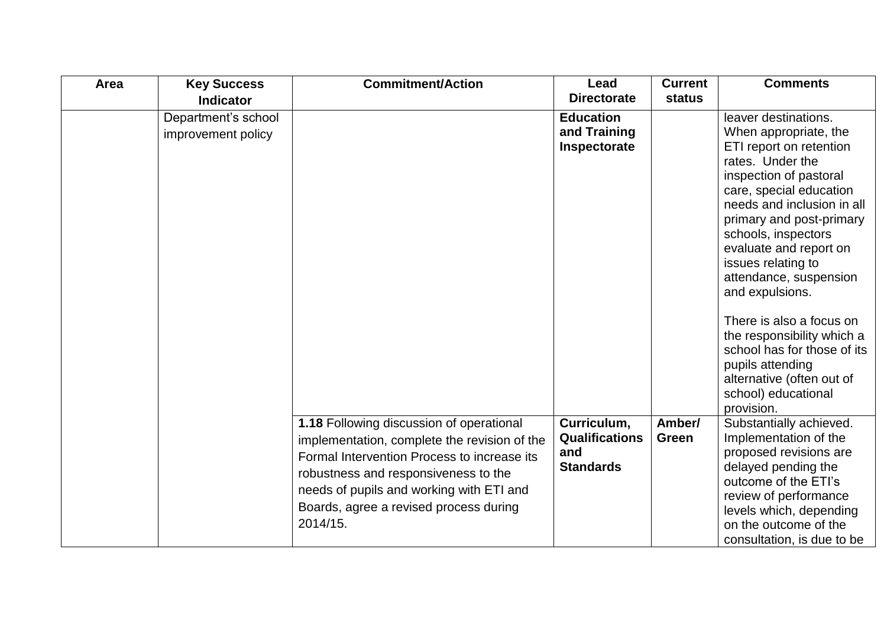| Area | <b>Key Success</b>                        | <b>Commitment/Action</b>                                                                                                                                                                                                                                                                 | Lead                                                            | <b>Current</b>  | <b>Comments</b>                                                                                                                                                                                                                                                                                                                                                                                                                                                                                  |
|------|-------------------------------------------|------------------------------------------------------------------------------------------------------------------------------------------------------------------------------------------------------------------------------------------------------------------------------------------|-----------------------------------------------------------------|-----------------|--------------------------------------------------------------------------------------------------------------------------------------------------------------------------------------------------------------------------------------------------------------------------------------------------------------------------------------------------------------------------------------------------------------------------------------------------------------------------------------------------|
|      | <b>Indicator</b>                          |                                                                                                                                                                                                                                                                                          | <b>Directorate</b>                                              | status          |                                                                                                                                                                                                                                                                                                                                                                                                                                                                                                  |
|      | Department's school<br>improvement policy |                                                                                                                                                                                                                                                                                          | <b>Education</b><br>and Training<br>Inspectorate                |                 | leaver destinations.<br>When appropriate, the<br>ETI report on retention<br>rates. Under the<br>inspection of pastoral<br>care, special education<br>needs and inclusion in all<br>primary and post-primary<br>schools, inspectors<br>evaluate and report on<br>issues relating to<br>attendance, suspension<br>and expulsions.<br>There is also a focus on<br>the responsibility which a<br>school has for those of its<br>pupils attending<br>alternative (often out of<br>school) educational |
|      |                                           | <b>1.18 Following discussion of operational</b><br>implementation, complete the revision of the<br>Formal Intervention Process to increase its<br>robustness and responsiveness to the<br>needs of pupils and working with ETI and<br>Boards, agree a revised process during<br>2014/15. | Curriculum,<br><b>Qualifications</b><br>and<br><b>Standards</b> | Amber/<br>Green | provision.<br>Substantially achieved.<br>Implementation of the<br>proposed revisions are<br>delayed pending the<br>outcome of the ETI's<br>review of performance<br>levels which, depending<br>on the outcome of the<br>consultation, is due to be                                                                                                                                                                                                                                               |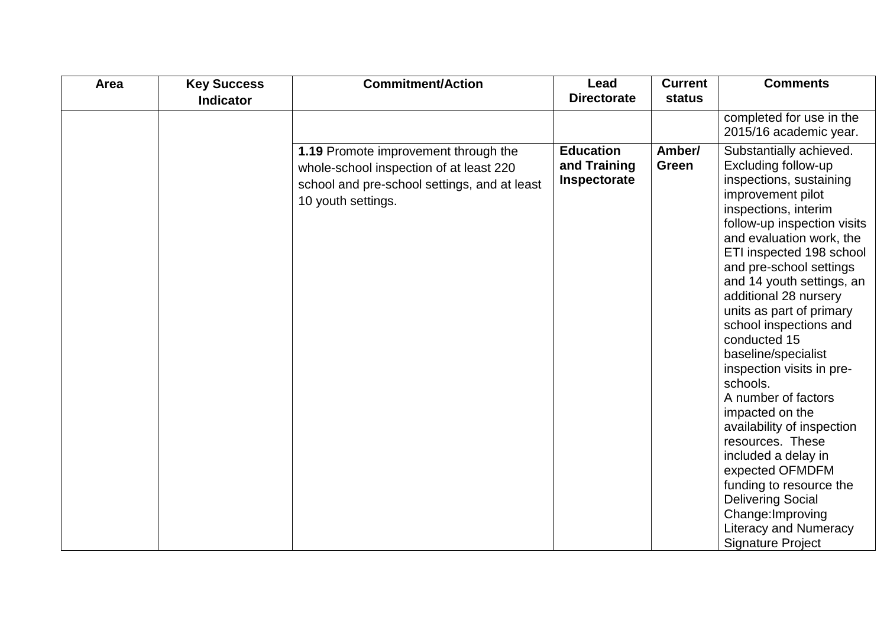| Area | <b>Key Success</b> | <b>Commitment/Action</b>                                                                                                                              | Lead                                             | <b>Current</b>  | <b>Comments</b>                                                                                                                                                                                                                                                                                                                                                                                                                                                                                                                                                                                                                                                                                                    |
|------|--------------------|-------------------------------------------------------------------------------------------------------------------------------------------------------|--------------------------------------------------|-----------------|--------------------------------------------------------------------------------------------------------------------------------------------------------------------------------------------------------------------------------------------------------------------------------------------------------------------------------------------------------------------------------------------------------------------------------------------------------------------------------------------------------------------------------------------------------------------------------------------------------------------------------------------------------------------------------------------------------------------|
|      | <b>Indicator</b>   |                                                                                                                                                       | <b>Directorate</b>                               | status          |                                                                                                                                                                                                                                                                                                                                                                                                                                                                                                                                                                                                                                                                                                                    |
|      |                    |                                                                                                                                                       |                                                  |                 | completed for use in the<br>2015/16 academic year.                                                                                                                                                                                                                                                                                                                                                                                                                                                                                                                                                                                                                                                                 |
|      |                    | 1.19 Promote improvement through the<br>whole-school inspection of at least 220<br>school and pre-school settings, and at least<br>10 youth settings. | <b>Education</b><br>and Training<br>Inspectorate | Amber/<br>Green | Substantially achieved.<br>Excluding follow-up<br>inspections, sustaining<br>improvement pilot<br>inspections, interim<br>follow-up inspection visits<br>and evaluation work, the<br>ETI inspected 198 school<br>and pre-school settings<br>and 14 youth settings, an<br>additional 28 nursery<br>units as part of primary<br>school inspections and<br>conducted 15<br>baseline/specialist<br>inspection visits in pre-<br>schools.<br>A number of factors<br>impacted on the<br>availability of inspection<br>resources. These<br>included a delay in<br>expected OFMDFM<br>funding to resource the<br><b>Delivering Social</b><br>Change: Improving<br><b>Literacy and Numeracy</b><br><b>Signature Project</b> |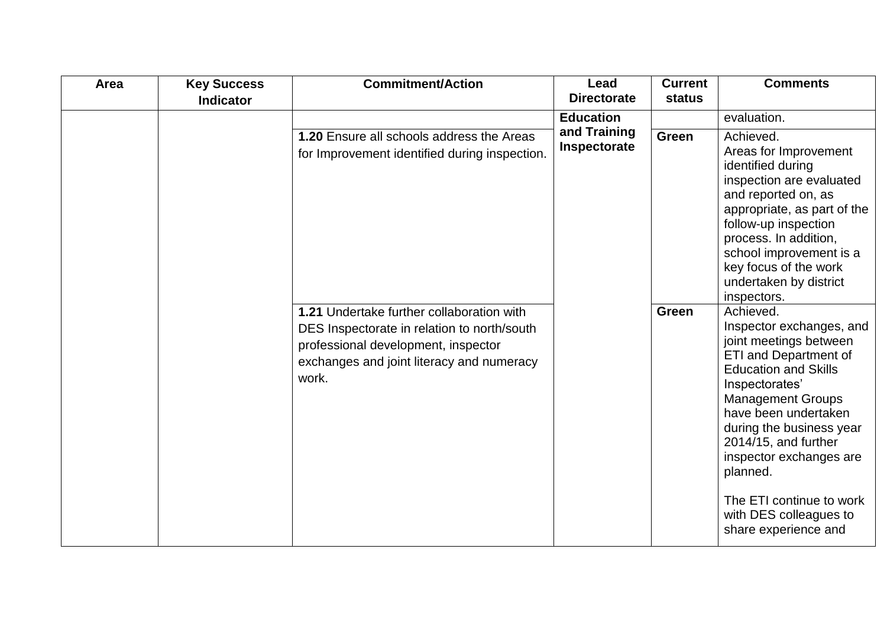| Area | <b>Key Success</b> | <b>Commitment/Action</b>                                                                                                                                                              | Lead                         | <b>Current</b> | <b>Comments</b>                                                                                                                                                                                                                                                                                                                                                               |
|------|--------------------|---------------------------------------------------------------------------------------------------------------------------------------------------------------------------------------|------------------------------|----------------|-------------------------------------------------------------------------------------------------------------------------------------------------------------------------------------------------------------------------------------------------------------------------------------------------------------------------------------------------------------------------------|
|      | <b>Indicator</b>   |                                                                                                                                                                                       | <b>Directorate</b>           | status         |                                                                                                                                                                                                                                                                                                                                                                               |
|      |                    |                                                                                                                                                                                       | <b>Education</b>             |                | evaluation.                                                                                                                                                                                                                                                                                                                                                                   |
|      |                    | 1.20 Ensure all schools address the Areas<br>for Improvement identified during inspection.                                                                                            | and Training<br>Inspectorate | Green          | Achieved.<br>Areas for Improvement<br>identified during<br>inspection are evaluated<br>and reported on, as<br>appropriate, as part of the<br>follow-up inspection<br>process. In addition,<br>school improvement is a<br>key focus of the work<br>undertaken by district<br>inspectors.                                                                                       |
|      |                    | 1.21 Undertake further collaboration with<br>DES Inspectorate in relation to north/south<br>professional development, inspector<br>exchanges and joint literacy and numeracy<br>work. |                              | Green          | Achieved.<br>Inspector exchanges, and<br>joint meetings between<br><b>ETI and Department of</b><br><b>Education and Skills</b><br>Inspectorates'<br><b>Management Groups</b><br>have been undertaken<br>during the business year<br>2014/15, and further<br>inspector exchanges are<br>planned.<br>The ETI continue to work<br>with DES colleagues to<br>share experience and |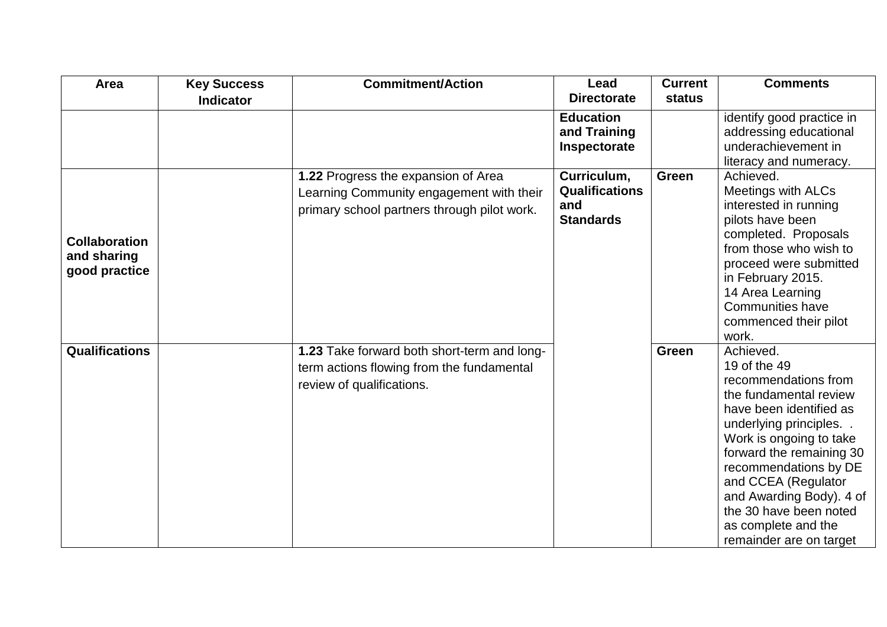| Area                                                 | <b>Key Success</b><br><b>Indicator</b> | <b>Commitment/Action</b>                                                                                                       | Lead<br><b>Directorate</b>                                      | <b>Current</b><br>status | <b>Comments</b>                                                                                                                                                                                                                                                                                                                                 |
|------------------------------------------------------|----------------------------------------|--------------------------------------------------------------------------------------------------------------------------------|-----------------------------------------------------------------|--------------------------|-------------------------------------------------------------------------------------------------------------------------------------------------------------------------------------------------------------------------------------------------------------------------------------------------------------------------------------------------|
|                                                      |                                        |                                                                                                                                | <b>Education</b><br>and Training<br>Inspectorate                |                          | identify good practice in<br>addressing educational<br>underachievement in<br>literacy and numeracy.                                                                                                                                                                                                                                            |
| <b>Collaboration</b><br>and sharing<br>good practice |                                        | 1.22 Progress the expansion of Area<br>Learning Community engagement with their<br>primary school partners through pilot work. | Curriculum,<br><b>Qualifications</b><br>and<br><b>Standards</b> | Green                    | Achieved.<br><b>Meetings with ALCs</b><br>interested in running<br>pilots have been<br>completed. Proposals<br>from those who wish to<br>proceed were submitted<br>in February 2015.<br>14 Area Learning<br><b>Communities have</b><br>commenced their pilot<br>work.                                                                           |
| <b>Qualifications</b>                                |                                        | 1.23 Take forward both short-term and long-<br>term actions flowing from the fundamental<br>review of qualifications.          |                                                                 | Green                    | Achieved.<br>19 of the 49<br>recommendations from<br>the fundamental review<br>have been identified as<br>underlying principles.<br>Work is ongoing to take<br>forward the remaining 30<br>recommendations by DE<br>and CCEA (Regulator<br>and Awarding Body). 4 of<br>the 30 have been noted<br>as complete and the<br>remainder are on target |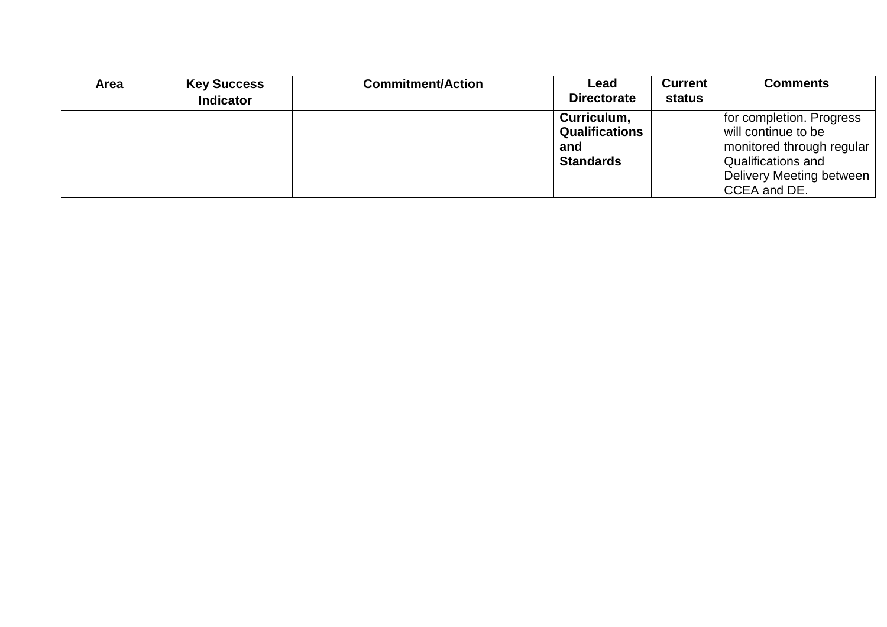| <b>Area</b> | <b>Key Success</b> | <b>Commitment/Action</b> | Lead               | <b>Current</b> | <b>Comments</b>           |
|-------------|--------------------|--------------------------|--------------------|----------------|---------------------------|
|             | <b>Indicator</b>   |                          | <b>Directorate</b> | status         |                           |
|             |                    |                          | Curriculum,        |                | for completion. Progress  |
|             |                    |                          | Qualifications     |                | will continue to be       |
|             |                    |                          | and                |                | monitored through regular |
|             |                    |                          | <b>Standards</b>   |                | Qualifications and        |
|             |                    |                          |                    |                | Delivery Meeting between  |
|             |                    |                          |                    |                | CCEA and DE.              |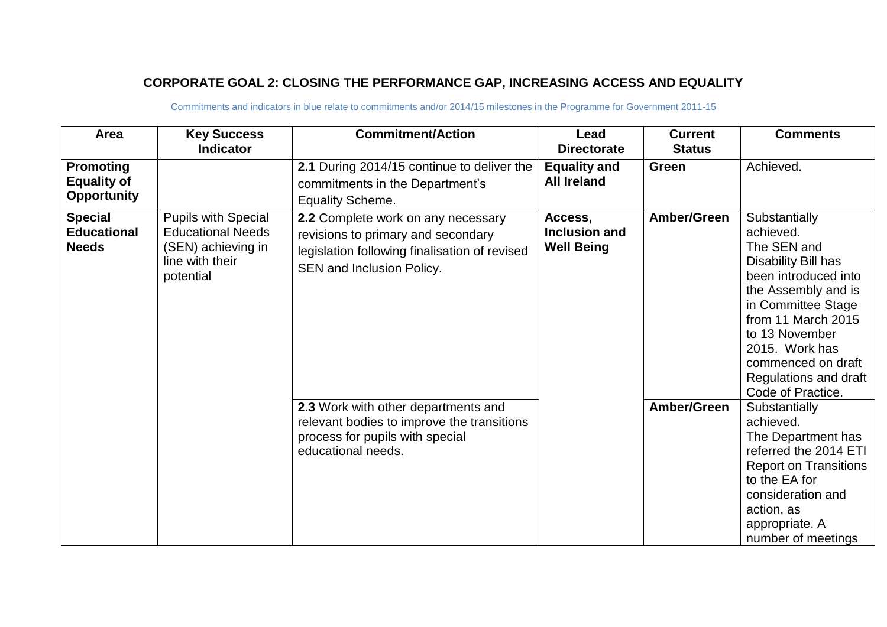### **CORPORATE GOAL 2: CLOSING THE PERFORMANCE GAP, INCREASING ACCESS AND EQUALITY**

| Area                                                         | <b>Key Success</b><br><b>Indicator</b>                                                                       | <b>Commitment/Action</b>                                                                                                                               | Lead<br><b>Directorate</b>                                   | <b>Current</b><br><b>Status</b> | <b>Comments</b>                                                                                                                                                                                                                                                     |
|--------------------------------------------------------------|--------------------------------------------------------------------------------------------------------------|--------------------------------------------------------------------------------------------------------------------------------------------------------|--------------------------------------------------------------|---------------------------------|---------------------------------------------------------------------------------------------------------------------------------------------------------------------------------------------------------------------------------------------------------------------|
| <b>Promoting</b><br><b>Equality of</b><br><b>Opportunity</b> |                                                                                                              | 2.1 During 2014/15 continue to deliver the<br>commitments in the Department's<br><b>Equality Scheme.</b>                                               | <b>Equality and</b><br><b>All Ireland</b>                    | <b>Green</b>                    | Achieved.                                                                                                                                                                                                                                                           |
| <b>Special</b><br><b>Educational</b><br><b>Needs</b>         | <b>Pupils with Special</b><br><b>Educational Needs</b><br>(SEN) achieving in<br>line with their<br>potential | 2.2 Complete work on any necessary<br>revisions to primary and secondary<br>legislation following finalisation of revised<br>SEN and Inclusion Policy. | Amber/Green<br>Access,<br>Inclusion and<br><b>Well Being</b> |                                 | Substantially<br>achieved.<br>The SEN and<br>Disability Bill has<br>been introduced into<br>the Assembly and is<br>in Committee Stage<br>from 11 March 2015<br>to 13 November<br>2015. Work has<br>commenced on draft<br>Regulations and draft<br>Code of Practice. |
|                                                              |                                                                                                              | 2.3 Work with other departments and<br>relevant bodies to improve the transitions<br>process for pupils with special<br>educational needs.             |                                                              | Amber/Green                     | Substantially<br>achieved.<br>The Department has<br>referred the 2014 ETI<br><b>Report on Transitions</b><br>to the EA for<br>consideration and<br>action, as<br>appropriate. A<br>number of meetings                                                               |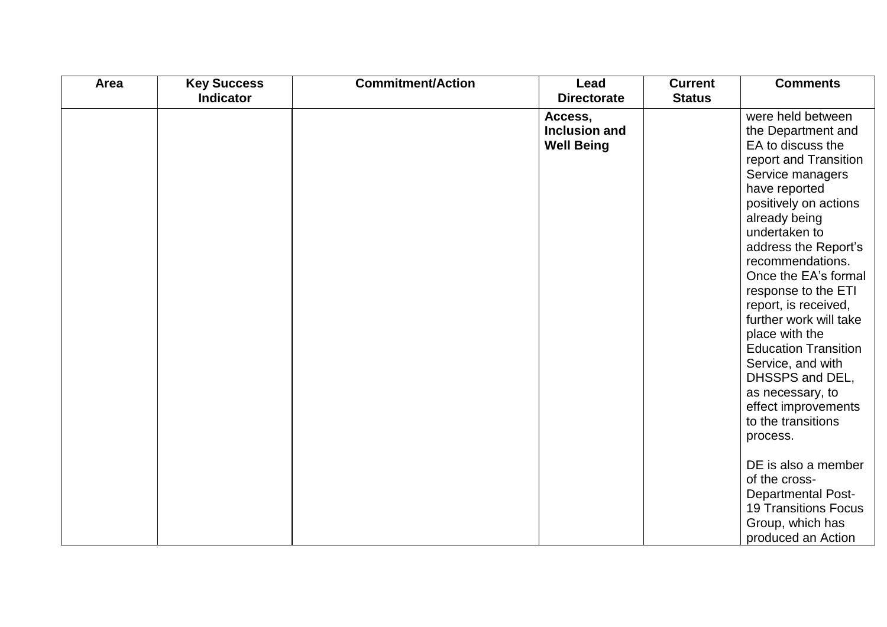| Area | <b>Key Success</b> | <b>Commitment/Action</b> | Lead               | <b>Current</b> | <b>Comments</b>                                |
|------|--------------------|--------------------------|--------------------|----------------|------------------------------------------------|
|      | <b>Indicator</b>   |                          | <b>Directorate</b> | <b>Status</b>  |                                                |
|      |                    |                          | Access,            |                | were held between                              |
|      |                    |                          | Inclusion and      |                | the Department and                             |
|      |                    |                          | <b>Well Being</b>  |                | EA to discuss the                              |
|      |                    |                          |                    |                | report and Transition                          |
|      |                    |                          |                    |                | Service managers                               |
|      |                    |                          |                    |                | have reported                                  |
|      |                    |                          |                    |                | positively on actions                          |
|      |                    |                          |                    |                | already being                                  |
|      |                    |                          |                    |                | undertaken to                                  |
|      |                    |                          |                    |                | address the Report's                           |
|      |                    |                          |                    |                | recommendations.                               |
|      |                    |                          |                    |                | Once the EA's formal                           |
|      |                    |                          |                    |                | response to the ETI                            |
|      |                    |                          |                    |                | report, is received,<br>further work will take |
|      |                    |                          |                    |                | place with the                                 |
|      |                    |                          |                    |                | <b>Education Transition</b>                    |
|      |                    |                          |                    |                | Service, and with                              |
|      |                    |                          |                    |                | DHSSPS and DEL,                                |
|      |                    |                          |                    |                | as necessary, to                               |
|      |                    |                          |                    |                | effect improvements                            |
|      |                    |                          |                    |                | to the transitions                             |
|      |                    |                          |                    |                | process.                                       |
|      |                    |                          |                    |                |                                                |
|      |                    |                          |                    |                | DE is also a member                            |
|      |                    |                          |                    |                | of the cross-                                  |
|      |                    |                          |                    |                | <b>Departmental Post-</b>                      |
|      |                    |                          |                    |                | <b>19 Transitions Focus</b>                    |
|      |                    |                          |                    |                | Group, which has                               |
|      |                    |                          |                    |                | produced an Action                             |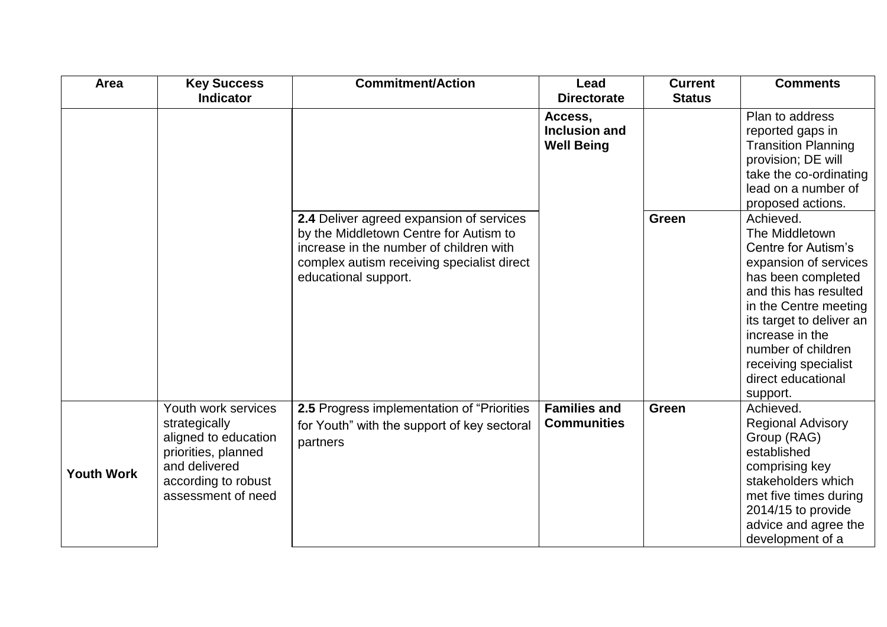| Area              | <b>Key Success</b>   | <b>Commitment/Action</b>                    | Lead                 | <b>Current</b> | <b>Comments</b>            |
|-------------------|----------------------|---------------------------------------------|----------------------|----------------|----------------------------|
|                   | <b>Indicator</b>     |                                             | <b>Directorate</b>   | <b>Status</b>  |                            |
|                   |                      |                                             | Access,              |                | Plan to address            |
|                   |                      |                                             | <b>Inclusion and</b> |                | reported gaps in           |
|                   |                      |                                             | <b>Well Being</b>    |                | <b>Transition Planning</b> |
|                   |                      |                                             |                      |                | provision; DE will         |
|                   |                      |                                             |                      |                | take the co-ordinating     |
|                   |                      |                                             |                      |                | lead on a number of        |
|                   |                      |                                             |                      |                | proposed actions.          |
|                   |                      | 2.4 Deliver agreed expansion of services    |                      | <b>Green</b>   | Achieved.                  |
|                   |                      | by the Middletown Centre for Autism to      |                      |                | The Middletown             |
|                   |                      | increase in the number of children with     |                      |                | Centre for Autism's        |
|                   |                      | complex autism receiving specialist direct  |                      |                | expansion of services      |
|                   |                      | educational support.                        |                      |                | has been completed         |
|                   |                      |                                             |                      |                | and this has resulted      |
|                   |                      |                                             |                      |                | in the Centre meeting      |
|                   |                      |                                             |                      |                | its target to deliver an   |
|                   |                      |                                             |                      |                | increase in the            |
|                   |                      |                                             |                      |                | number of children         |
|                   |                      |                                             |                      |                | receiving specialist       |
|                   |                      |                                             |                      |                | direct educational         |
|                   |                      |                                             |                      |                | support.                   |
|                   | Youth work services  | 2.5 Progress implementation of "Priorities" | <b>Families and</b>  | <b>Green</b>   | Achieved.                  |
|                   | strategically        | for Youth" with the support of key sectoral | <b>Communities</b>   |                | <b>Regional Advisory</b>   |
|                   | aligned to education | partners                                    |                      |                | Group (RAG)                |
|                   | priorities, planned  |                                             |                      |                | established                |
| <b>Youth Work</b> | and delivered        |                                             |                      |                | comprising key             |
|                   | according to robust  |                                             |                      |                | stakeholders which         |
|                   | assessment of need   |                                             |                      |                | met five times during      |
|                   |                      |                                             |                      |                | 2014/15 to provide         |
|                   |                      |                                             |                      |                | advice and agree the       |
|                   |                      |                                             |                      |                | development of a           |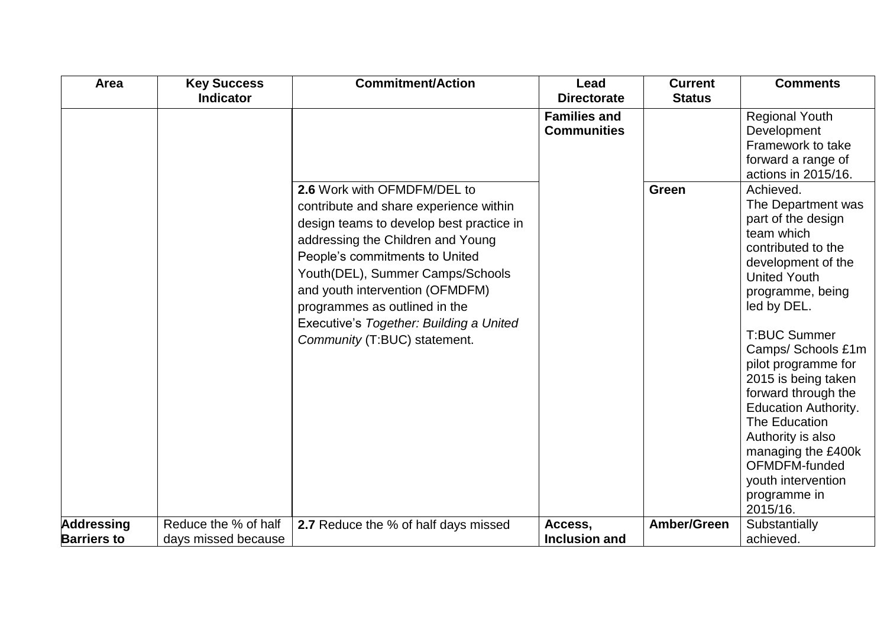| Area               | <b>Key Success</b>   | <b>Commitment/Action</b>                                                                                                                                                                                                                                                                                                                                                    | Lead                                      | <b>Current</b> | <b>Comments</b>                                                                                                                                                                                                                                                                                                                                                                                                                                                                                                                         |
|--------------------|----------------------|-----------------------------------------------------------------------------------------------------------------------------------------------------------------------------------------------------------------------------------------------------------------------------------------------------------------------------------------------------------------------------|-------------------------------------------|----------------|-----------------------------------------------------------------------------------------------------------------------------------------------------------------------------------------------------------------------------------------------------------------------------------------------------------------------------------------------------------------------------------------------------------------------------------------------------------------------------------------------------------------------------------------|
|                    | <b>Indicator</b>     |                                                                                                                                                                                                                                                                                                                                                                             | <b>Directorate</b>                        | <b>Status</b>  |                                                                                                                                                                                                                                                                                                                                                                                                                                                                                                                                         |
|                    |                      | 2.6 Work with OFMDFM/DEL to<br>contribute and share experience within<br>design teams to develop best practice in<br>addressing the Children and Young<br>People's commitments to United<br>Youth(DEL), Summer Camps/Schools<br>and youth intervention (OFMDFM)<br>programmes as outlined in the<br>Executive's Together: Building a United<br>Community (T:BUC) statement. | <b>Families and</b><br><b>Communities</b> | <b>Green</b>   | <b>Regional Youth</b><br>Development<br>Framework to take<br>forward a range of<br>actions in 2015/16.<br>Achieved.<br>The Department was<br>part of the design<br>team which<br>contributed to the<br>development of the<br><b>United Youth</b><br>programme, being<br>led by DEL.<br><b>T:BUC Summer</b><br>Camps/ Schools £1m<br>pilot programme for<br>2015 is being taken<br>forward through the<br><b>Education Authority.</b><br>The Education<br>Authority is also<br>managing the £400k<br>OFMDFM-funded<br>youth intervention |
|                    |                      |                                                                                                                                                                                                                                                                                                                                                                             |                                           |                | programme in<br>2015/16.                                                                                                                                                                                                                                                                                                                                                                                                                                                                                                                |
| <b>Addressing</b>  | Reduce the % of half | 2.7 Reduce the % of half days missed                                                                                                                                                                                                                                                                                                                                        | Access,                                   | Amber/Green    | Substantially                                                                                                                                                                                                                                                                                                                                                                                                                                                                                                                           |
| <b>Barriers to</b> | days missed because  |                                                                                                                                                                                                                                                                                                                                                                             | Inclusion and                             |                | achieved.                                                                                                                                                                                                                                                                                                                                                                                                                                                                                                                               |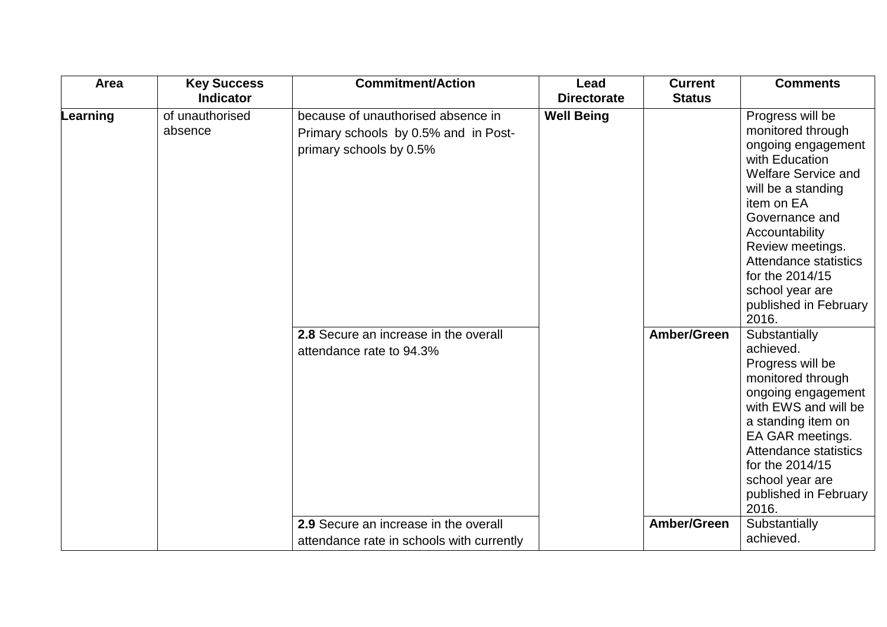| Area     | <b>Key Success</b>         | <b>Commitment/Action</b>                                                                              | Lead                                | <b>Current</b> | <b>Comments</b>                                                                                                                                                                                                                                                                                          |
|----------|----------------------------|-------------------------------------------------------------------------------------------------------|-------------------------------------|----------------|----------------------------------------------------------------------------------------------------------------------------------------------------------------------------------------------------------------------------------------------------------------------------------------------------------|
|          | <b>Indicator</b>           |                                                                                                       | <b>Directorate</b><br><b>Status</b> |                |                                                                                                                                                                                                                                                                                                          |
| Learning | of unauthorised<br>absence | because of unauthorised absence in<br>Primary schools by 0.5% and in Post-<br>primary schools by 0.5% | <b>Well Being</b>                   |                | Progress will be<br>monitored through<br>ongoing engagement<br>with Education<br><b>Welfare Service and</b><br>will be a standing<br>item on EA<br>Governance and<br>Accountability<br>Review meetings.<br>Attendance statistics<br>for the 2014/15<br>school year are<br>published in February<br>2016. |
|          |                            | 2.8 Secure an increase in the overall<br>attendance rate to 94.3%                                     |                                     | Amber/Green    | Substantially<br>achieved.<br>Progress will be<br>monitored through<br>ongoing engagement<br>with EWS and will be<br>a standing item on<br>EA GAR meetings.<br>Attendance statistics<br>for the 2014/15<br>school year are<br>published in February<br>2016.                                             |
|          |                            | 2.9 Secure an increase in the overall                                                                 |                                     | Amber/Green    | Substantially<br>achieved.                                                                                                                                                                                                                                                                               |
|          |                            | attendance rate in schools with currently                                                             |                                     |                |                                                                                                                                                                                                                                                                                                          |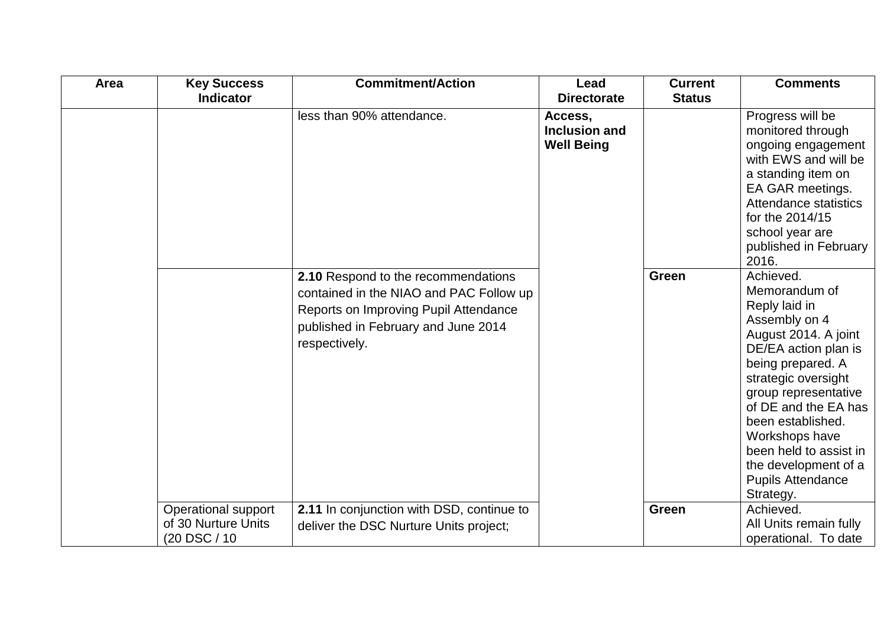| Area | <b>Key Success</b>  | <b>Commitment/Action</b>                  | Lead                 | <b>Current</b> | <b>Comments</b>                |
|------|---------------------|-------------------------------------------|----------------------|----------------|--------------------------------|
|      | <b>Indicator</b>    |                                           | <b>Directorate</b>   | <b>Status</b>  |                                |
|      |                     | less than 90% attendance.                 | Access,              |                | Progress will be               |
|      |                     |                                           | <b>Inclusion and</b> |                | monitored through              |
|      |                     |                                           | <b>Well Being</b>    |                | ongoing engagement             |
|      |                     |                                           |                      |                | with EWS and will be           |
|      |                     |                                           |                      |                | a standing item on             |
|      |                     |                                           |                      |                | EA GAR meetings.               |
|      |                     |                                           |                      |                | Attendance statistics          |
|      |                     |                                           |                      |                | for the 2014/15                |
|      |                     |                                           |                      |                | school year are                |
|      |                     |                                           |                      |                | published in February<br>2016. |
|      |                     | 2.10 Respond to the recommendations       |                      | <b>Green</b>   | Achieved.                      |
|      |                     |                                           |                      |                | Memorandum of                  |
|      |                     | contained in the NIAO and PAC Follow up   |                      |                | Reply laid in                  |
|      |                     | Reports on Improving Pupil Attendance     |                      |                | Assembly on 4                  |
|      |                     | published in February and June 2014       |                      |                | August 2014. A joint           |
|      |                     | respectively.                             |                      |                | DE/EA action plan is           |
|      |                     |                                           |                      |                | being prepared. A              |
|      |                     |                                           |                      |                | strategic oversight            |
|      |                     |                                           |                      |                | group representative           |
|      |                     |                                           |                      |                | of DE and the EA has           |
|      |                     |                                           |                      |                | been established.              |
|      |                     |                                           |                      |                | Workshops have                 |
|      |                     |                                           |                      |                | been held to assist in         |
|      |                     |                                           |                      |                | the development of a           |
|      |                     |                                           |                      |                | <b>Pupils Attendance</b>       |
|      |                     |                                           |                      |                | Strategy.                      |
|      | Operational support | 2.11 In conjunction with DSD, continue to |                      | <b>Green</b>   | Achieved.                      |
|      | of 30 Nurture Units | deliver the DSC Nurture Units project;    |                      |                | All Units remain fully         |
|      | (20 DSC / 10        |                                           |                      |                | operational. To date           |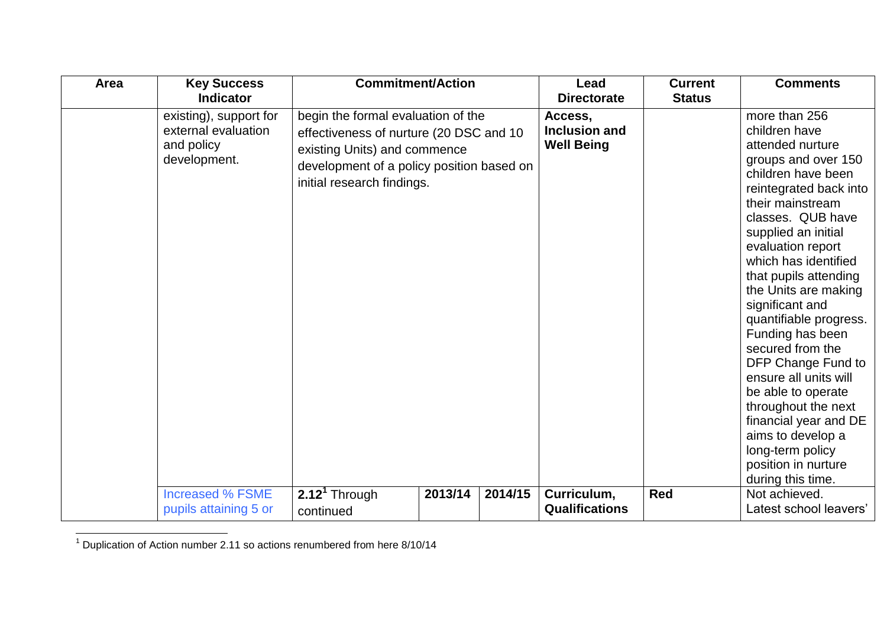| Area<br><b>Key Success</b>                                                  | <b>Commitment/Action</b>                                                                                                                                                                 |         |         | Lead                                                 | <b>Current</b> | <b>Comments</b>                                                                                                                                                                                                                                                                                                                                                                                                                                                                                                                                                                        |
|-----------------------------------------------------------------------------|------------------------------------------------------------------------------------------------------------------------------------------------------------------------------------------|---------|---------|------------------------------------------------------|----------------|----------------------------------------------------------------------------------------------------------------------------------------------------------------------------------------------------------------------------------------------------------------------------------------------------------------------------------------------------------------------------------------------------------------------------------------------------------------------------------------------------------------------------------------------------------------------------------------|
| <b>Indicator</b>                                                            |                                                                                                                                                                                          |         |         | <b>Directorate</b>                                   | <b>Status</b>  |                                                                                                                                                                                                                                                                                                                                                                                                                                                                                                                                                                                        |
| existing), support for<br>external evaluation<br>and policy<br>development. | begin the formal evaluation of the<br>effectiveness of nurture (20 DSC and 10<br>existing Units) and commence<br>development of a policy position based on<br>initial research findings. |         |         | Access,<br><b>Inclusion and</b><br><b>Well Being</b> |                | more than 256<br>children have<br>attended nurture<br>groups and over 150<br>children have been<br>reintegrated back into<br>their mainstream<br>classes. QUB have<br>supplied an initial<br>evaluation report<br>which has identified<br>that pupils attending<br>the Units are making<br>significant and<br>quantifiable progress.<br>Funding has been<br>secured from the<br>DFP Change Fund to<br>ensure all units will<br>be able to operate<br>throughout the next<br>financial year and DE<br>aims to develop a<br>long-term policy<br>position in nurture<br>during this time. |
| <b>Increased % FSME</b><br>pupils attaining 5 or                            | $2.121$ Through<br>continued                                                                                                                                                             | 2013/14 | 2014/15 | Curriculum,<br><b>Qualifications</b>                 | <b>Red</b>     | Not achieved.<br>Latest school leavers'                                                                                                                                                                                                                                                                                                                                                                                                                                                                                                                                                |

 $\overline{a}$  $1$  Duplication of Action number 2.11 so actions renumbered from here 8/10/14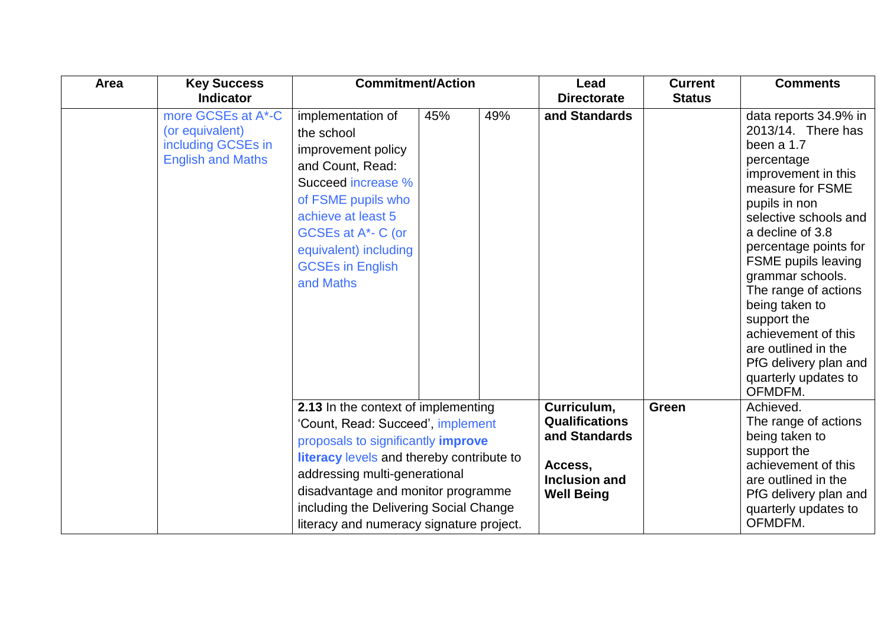| Area | <b>Key Success</b>                                                                      | <b>Commitment/Action</b>                                                                                                                                                                                                                                                                                                        |     |     | Lead                                                                                                   | <b>Current</b> | <b>Comments</b>                                                                                                                                                                                                                                                                                                                                                                                                                |
|------|-----------------------------------------------------------------------------------------|---------------------------------------------------------------------------------------------------------------------------------------------------------------------------------------------------------------------------------------------------------------------------------------------------------------------------------|-----|-----|--------------------------------------------------------------------------------------------------------|----------------|--------------------------------------------------------------------------------------------------------------------------------------------------------------------------------------------------------------------------------------------------------------------------------------------------------------------------------------------------------------------------------------------------------------------------------|
|      | <b>Indicator</b>                                                                        |                                                                                                                                                                                                                                                                                                                                 |     |     | <b>Directorate</b>                                                                                     | <b>Status</b>  |                                                                                                                                                                                                                                                                                                                                                                                                                                |
|      | more GCSEs at A*-C<br>(or equivalent)<br>including GCSEs in<br><b>English and Maths</b> | implementation of<br>the school<br>improvement policy<br>and Count, Read:<br>Succeed increase %<br>of FSME pupils who<br>achieve at least 5<br>GCSEs at A*- C (or<br>equivalent) including<br><b>GCSEs in English</b><br>and Maths                                                                                              | 45% | 49% | and Standards                                                                                          |                | data reports 34.9% in<br>2013/14. There has<br>been a 1.7<br>percentage<br>improvement in this<br>measure for FSME<br>pupils in non<br>selective schools and<br>a decline of 3.8<br>percentage points for<br><b>FSME</b> pupils leaving<br>grammar schools.<br>The range of actions<br>being taken to<br>support the<br>achievement of this<br>are outlined in the<br>PfG delivery plan and<br>quarterly updates to<br>OFMDFM. |
|      |                                                                                         | 2.13 In the context of implementing<br>'Count, Read: Succeed', implement<br>proposals to significantly <i>improve</i><br>literacy levels and thereby contribute to<br>addressing multi-generational<br>disadvantage and monitor programme<br>including the Delivering Social Change<br>literacy and numeracy signature project. |     |     | Curriculum,<br><b>Qualifications</b><br>and Standards<br>Access,<br>Inclusion and<br><b>Well Being</b> | Green          | Achieved.<br>The range of actions<br>being taken to<br>support the<br>achievement of this<br>are outlined in the<br>PfG delivery plan and<br>quarterly updates to<br>OFMDFM.                                                                                                                                                                                                                                                   |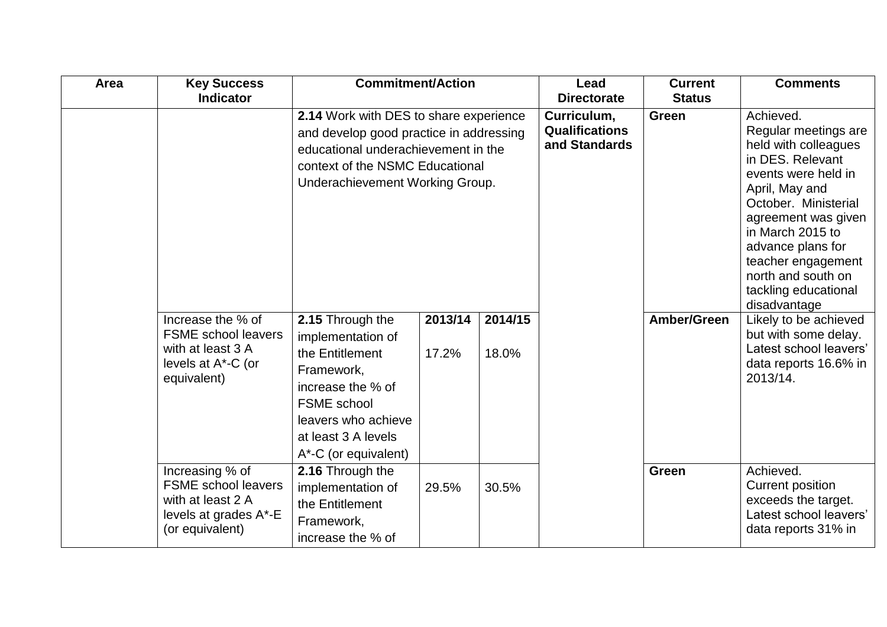| Area | <b>Key Success</b>                                                                                             | <b>Commitment/Action</b>                                                                                                                                                                       |                  |                  | Lead                                                  | <b>Current</b> | <b>Comments</b>                                                                                                                                                                                                                                                                                    |
|------|----------------------------------------------------------------------------------------------------------------|------------------------------------------------------------------------------------------------------------------------------------------------------------------------------------------------|------------------|------------------|-------------------------------------------------------|----------------|----------------------------------------------------------------------------------------------------------------------------------------------------------------------------------------------------------------------------------------------------------------------------------------------------|
|      | <b>Indicator</b>                                                                                               |                                                                                                                                                                                                |                  |                  | <b>Directorate</b>                                    | <b>Status</b>  |                                                                                                                                                                                                                                                                                                    |
|      |                                                                                                                | 2.14 Work with DES to share experience<br>and develop good practice in addressing<br>educational underachievement in the<br>context of the NSMC Educational<br>Underachievement Working Group. |                  |                  | Curriculum,<br><b>Qualifications</b><br>and Standards | Green          | Achieved.<br>Regular meetings are<br>held with colleagues<br>in DES. Relevant<br>events were held in<br>April, May and<br>October. Ministerial<br>agreement was given<br>in March 2015 to<br>advance plans for<br>teacher engagement<br>north and south on<br>tackling educational<br>disadvantage |
|      | Increase the % of<br><b>FSME</b> school leavers<br>with at least 3 A<br>levels at A*-C (or<br>equivalent)      | 2.15 Through the<br>implementation of<br>the Entitlement<br>Framework,<br>increase the % of<br><b>FSME</b> school<br>leavers who achieve<br>at least 3 A levels<br>A*-C (or equivalent)        | 2013/14<br>17.2% | 2014/15<br>18.0% |                                                       | Amber/Green    | Likely to be achieved<br>but with some delay.<br>Latest school leavers'<br>data reports 16.6% in<br>2013/14.                                                                                                                                                                                       |
|      | Increasing % of<br><b>FSME</b> school leavers<br>with at least 2 A<br>levels at grades A*-E<br>(or equivalent) | 2.16 Through the<br>implementation of<br>the Entitlement<br>Framework,<br>increase the % of                                                                                                    | 29.5%            | 30.5%            |                                                       | <b>Green</b>   | Achieved.<br><b>Current position</b><br>exceeds the target.<br>Latest school leavers'<br>data reports 31% in                                                                                                                                                                                       |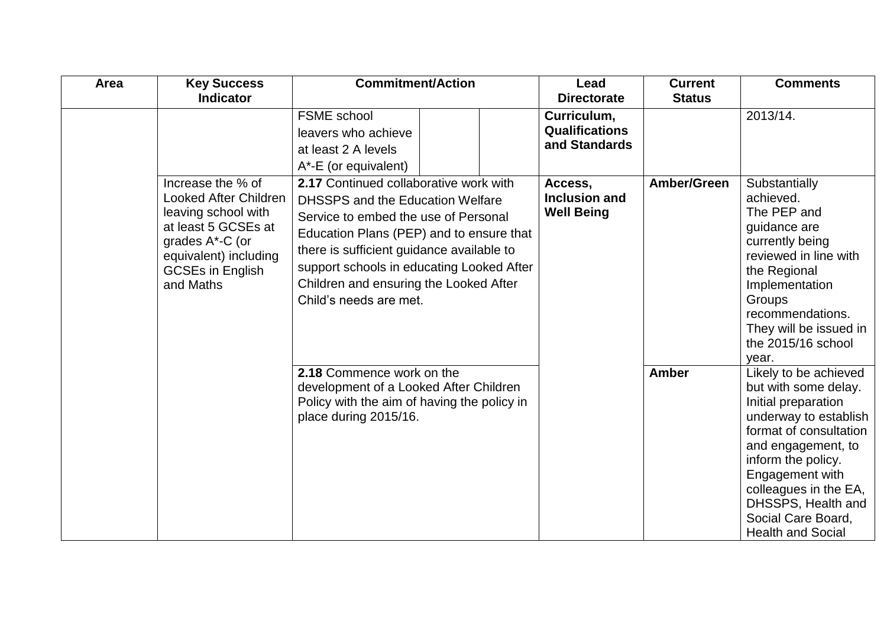| Area | <b>Key Success</b>                                                                                                                                                                  | <b>Commitment/Action</b>                                                                                                                                                                                                                                                                                                     |  | Lead                                                         | <b>Current</b> | <b>Comments</b>                                                                                                                                                                                                                                                                         |
|------|-------------------------------------------------------------------------------------------------------------------------------------------------------------------------------------|------------------------------------------------------------------------------------------------------------------------------------------------------------------------------------------------------------------------------------------------------------------------------------------------------------------------------|--|--------------------------------------------------------------|----------------|-----------------------------------------------------------------------------------------------------------------------------------------------------------------------------------------------------------------------------------------------------------------------------------------|
|      | <b>Indicator</b>                                                                                                                                                                    |                                                                                                                                                                                                                                                                                                                              |  | <b>Directorate</b>                                           | <b>Status</b>  |                                                                                                                                                                                                                                                                                         |
|      |                                                                                                                                                                                     | <b>FSME</b> school<br>leavers who achieve<br>at least 2 A levels<br>A*-E (or equivalent)                                                                                                                                                                                                                                     |  | Curriculum,<br><b>Qualifications</b><br>and Standards        |                | 2013/14.                                                                                                                                                                                                                                                                                |
|      | Increase the % of<br><b>Looked After Children</b><br>leaving school with<br>at least 5 GCSEs at<br>grades A*-C (or<br>equivalent) including<br><b>GCSEs in English</b><br>and Maths | 2.17 Continued collaborative work with<br>DHSSPS and the Education Welfare<br>Service to embed the use of Personal<br>Education Plans (PEP) and to ensure that<br>there is sufficient guidance available to<br>support schools in educating Looked After<br>Children and ensuring the Looked After<br>Child's needs are met. |  | Amber/Green<br>Access,<br>Inclusion and<br><b>Well Being</b> |                | Substantially<br>achieved.<br>The PEP and<br>guidance are<br>currently being<br>reviewed in line with<br>the Regional<br>Implementation<br>Groups<br>recommendations.<br>They will be issued in<br>the 2015/16 school<br>year.                                                          |
|      |                                                                                                                                                                                     | 2.18 Commence work on the<br>development of a Looked After Children<br>Policy with the aim of having the policy in<br>place during 2015/16.                                                                                                                                                                                  |  |                                                              | <b>Amber</b>   | Likely to be achieved<br>but with some delay.<br>Initial preparation<br>underway to establish<br>format of consultation<br>and engagement, to<br>inform the policy.<br>Engagement with<br>colleagues in the EA,<br>DHSSPS, Health and<br>Social Care Board,<br><b>Health and Social</b> |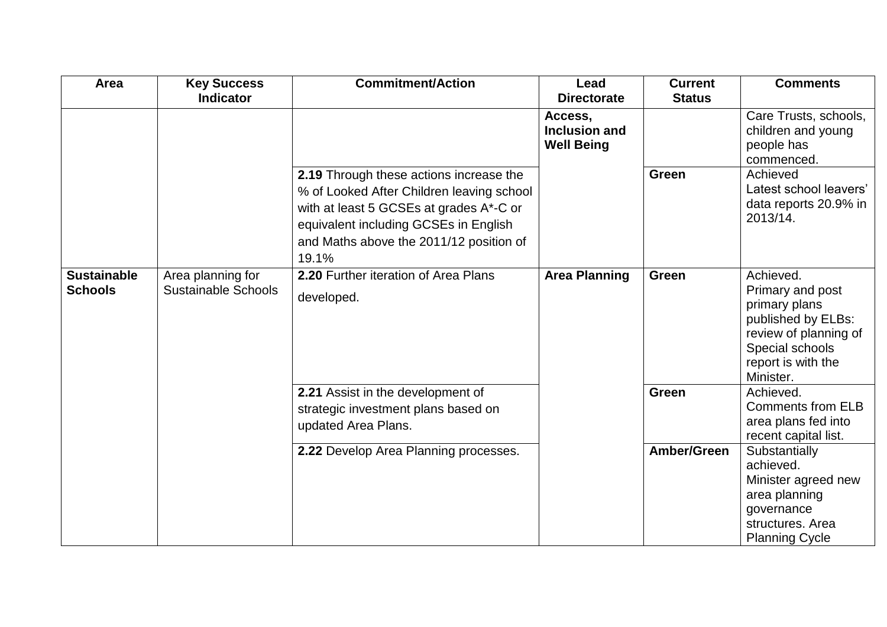| Area                                 | <b>Key Success</b>                              | <b>Commitment/Action</b>                                                                                                                                                                                                     | Lead                                                 | <b>Current</b> | <b>Comments</b>                                                                                                                                     |
|--------------------------------------|-------------------------------------------------|------------------------------------------------------------------------------------------------------------------------------------------------------------------------------------------------------------------------------|------------------------------------------------------|----------------|-----------------------------------------------------------------------------------------------------------------------------------------------------|
|                                      | <b>Indicator</b>                                |                                                                                                                                                                                                                              | <b>Directorate</b>                                   | <b>Status</b>  |                                                                                                                                                     |
|                                      |                                                 |                                                                                                                                                                                                                              | Access,<br><b>Inclusion and</b><br><b>Well Being</b> |                | Care Trusts, schools,<br>children and young<br>people has<br>commenced.                                                                             |
|                                      |                                                 | 2.19 Through these actions increase the<br>% of Looked After Children leaving school<br>with at least 5 GCSEs at grades A*-C or<br>equivalent including GCSEs in English<br>and Maths above the 2011/12 position of<br>19.1% |                                                      | <b>Green</b>   | Achieved<br>Latest school leavers'<br>data reports 20.9% in<br>2013/14.                                                                             |
| <b>Sustainable</b><br><b>Schools</b> | Area planning for<br><b>Sustainable Schools</b> | 2.20 Further iteration of Area Plans<br>developed.                                                                                                                                                                           | <b>Area Planning</b>                                 | <b>Green</b>   | Achieved.<br>Primary and post<br>primary plans<br>published by ELBs:<br>review of planning of<br>Special schools<br>report is with the<br>Minister. |
|                                      |                                                 | 2.21 Assist in the development of<br>strategic investment plans based on<br>updated Area Plans.                                                                                                                              |                                                      | <b>Green</b>   | Achieved.<br><b>Comments from ELB</b><br>area plans fed into<br>recent capital list.                                                                |
|                                      |                                                 | 2.22 Develop Area Planning processes.                                                                                                                                                                                        |                                                      | Amber/Green    | Substantially<br>achieved.<br>Minister agreed new<br>area planning<br>governance<br>structures. Area<br><b>Planning Cycle</b>                       |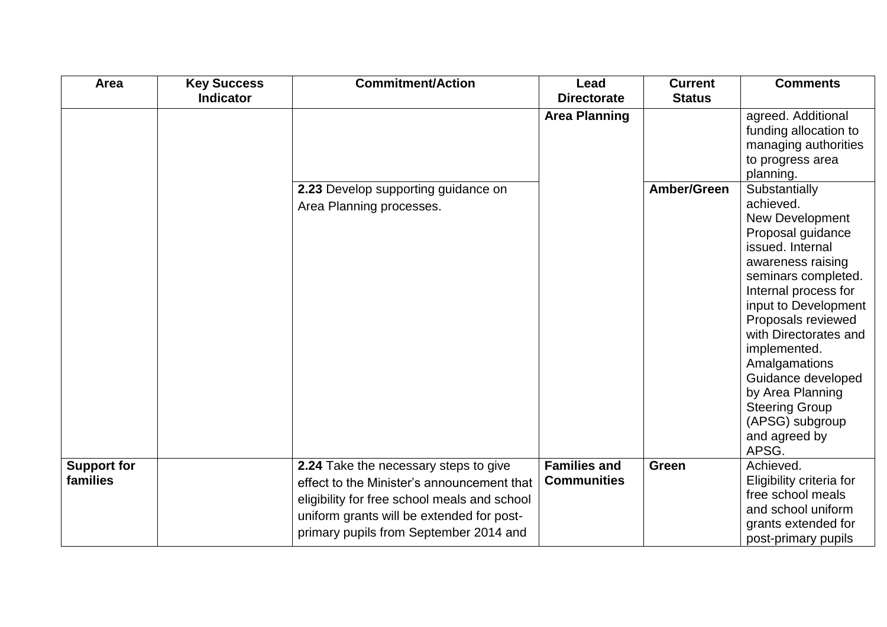| Area                           | <b>Key Success</b> | <b>Commitment/Action</b>                                                                                                                                                                                                   | Lead                                      | <b>Current</b> | <b>Comments</b>                                                                                                                                                                                                                                                                                                                                                                           |
|--------------------------------|--------------------|----------------------------------------------------------------------------------------------------------------------------------------------------------------------------------------------------------------------------|-------------------------------------------|----------------|-------------------------------------------------------------------------------------------------------------------------------------------------------------------------------------------------------------------------------------------------------------------------------------------------------------------------------------------------------------------------------------------|
|                                | <b>Indicator</b>   |                                                                                                                                                                                                                            | <b>Directorate</b>                        | <b>Status</b>  |                                                                                                                                                                                                                                                                                                                                                                                           |
|                                |                    |                                                                                                                                                                                                                            | <b>Area Planning</b>                      |                | agreed. Additional<br>funding allocation to<br>managing authorities<br>to progress area<br>planning.                                                                                                                                                                                                                                                                                      |
|                                |                    | 2.23 Develop supporting guidance on<br>Area Planning processes.                                                                                                                                                            |                                           | Amber/Green    | Substantially<br>achieved.<br><b>New Development</b><br>Proposal guidance<br>issued. Internal<br>awareness raising<br>seminars completed.<br>Internal process for<br>input to Development<br>Proposals reviewed<br>with Directorates and<br>implemented.<br>Amalgamations<br>Guidance developed<br>by Area Planning<br><b>Steering Group</b><br>(APSG) subgroup<br>and agreed by<br>APSG. |
| <b>Support for</b><br>families |                    | 2.24 Take the necessary steps to give<br>effect to the Minister's announcement that<br>eligibility for free school meals and school<br>uniform grants will be extended for post-<br>primary pupils from September 2014 and | <b>Families and</b><br><b>Communities</b> | <b>Green</b>   | Achieved.<br>Eligibility criteria for<br>free school meals<br>and school uniform<br>grants extended for<br>post-primary pupils                                                                                                                                                                                                                                                            |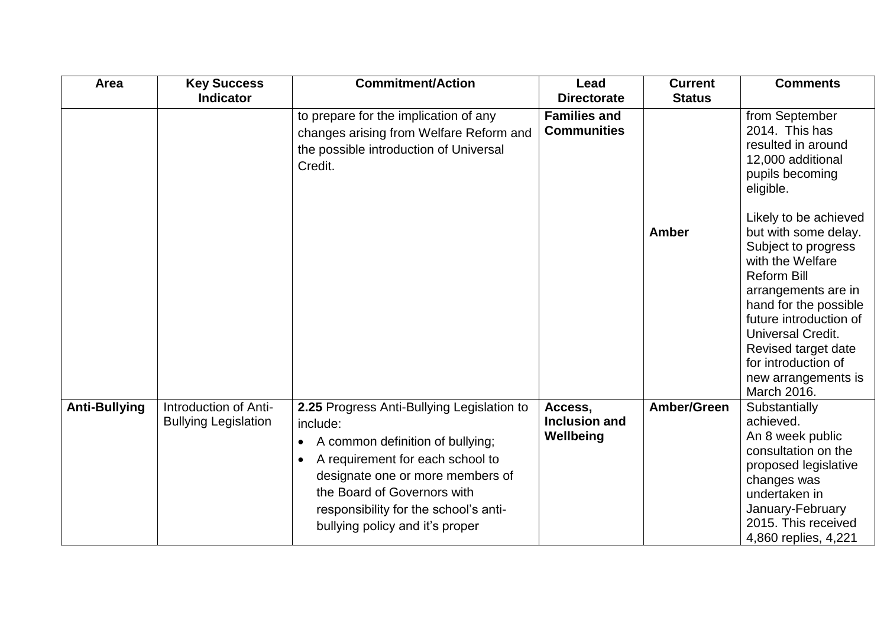| Area                 | <b>Key Success</b>                                   | <b>Commitment/Action</b>                                                                                                                                                                                                                                                                   | Lead                                      | <b>Current</b> | <b>Comments</b>                                                                                                                                                                                                                                                                                                                                                                                                  |
|----------------------|------------------------------------------------------|--------------------------------------------------------------------------------------------------------------------------------------------------------------------------------------------------------------------------------------------------------------------------------------------|-------------------------------------------|----------------|------------------------------------------------------------------------------------------------------------------------------------------------------------------------------------------------------------------------------------------------------------------------------------------------------------------------------------------------------------------------------------------------------------------|
|                      | <b>Indicator</b>                                     |                                                                                                                                                                                                                                                                                            | <b>Directorate</b>                        | <b>Status</b>  |                                                                                                                                                                                                                                                                                                                                                                                                                  |
|                      |                                                      | to prepare for the implication of any<br>changes arising from Welfare Reform and<br>the possible introduction of Universal<br>Credit.                                                                                                                                                      | <b>Families and</b><br><b>Communities</b> | <b>Amber</b>   | from September<br>2014. This has<br>resulted in around<br>12,000 additional<br>pupils becoming<br>eligible.<br>Likely to be achieved<br>but with some delay.<br>Subject to progress<br>with the Welfare<br><b>Reform Bill</b><br>arrangements are in<br>hand for the possible<br>future introduction of<br>Universal Credit.<br>Revised target date<br>for introduction of<br>new arrangements is<br>March 2016. |
| <b>Anti-Bullying</b> | Introduction of Anti-<br><b>Bullying Legislation</b> | 2.25 Progress Anti-Bullying Legislation to<br>include:<br>A common definition of bullying;<br>$\bullet$<br>A requirement for each school to<br>designate one or more members of<br>the Board of Governors with<br>responsibility for the school's anti-<br>bullying policy and it's proper | Access,<br>Inclusion and<br>Wellbeing     | Amber/Green    | Substantially<br>achieved.<br>An 8 week public<br>consultation on the<br>proposed legislative<br>changes was<br>undertaken in<br>January-February<br>2015. This received<br>4,860 replies, 4,221                                                                                                                                                                                                                 |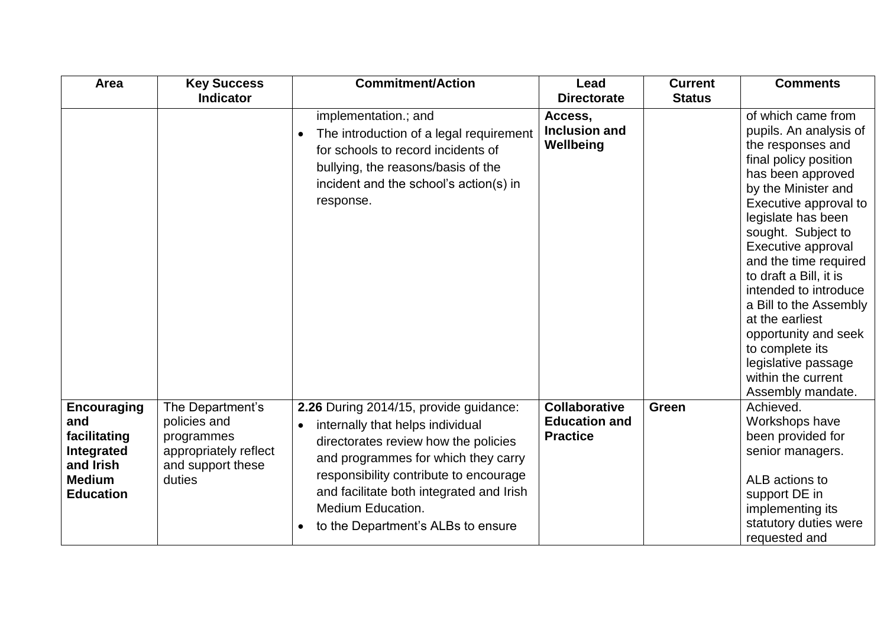| Area                                                                                                      | <b>Key Success</b>                                                                                     | <b>Commitment/Action</b>                                                                                                                                                                                                                                                                                          | Lead                                                            | <b>Current</b> | <b>Comments</b>                                                                                                                                                                                                                                                                                                                                                                                                                                                         |
|-----------------------------------------------------------------------------------------------------------|--------------------------------------------------------------------------------------------------------|-------------------------------------------------------------------------------------------------------------------------------------------------------------------------------------------------------------------------------------------------------------------------------------------------------------------|-----------------------------------------------------------------|----------------|-------------------------------------------------------------------------------------------------------------------------------------------------------------------------------------------------------------------------------------------------------------------------------------------------------------------------------------------------------------------------------------------------------------------------------------------------------------------------|
|                                                                                                           | <b>Indicator</b>                                                                                       |                                                                                                                                                                                                                                                                                                                   | <b>Directorate</b>                                              | <b>Status</b>  |                                                                                                                                                                                                                                                                                                                                                                                                                                                                         |
|                                                                                                           |                                                                                                        | implementation.; and<br>The introduction of a legal requirement<br>for schools to record incidents of<br>bullying, the reasons/basis of the<br>incident and the school's action(s) in<br>response.                                                                                                                | Access,<br>Inclusion and<br>Wellbeing                           |                | of which came from<br>pupils. An analysis of<br>the responses and<br>final policy position<br>has been approved<br>by the Minister and<br>Executive approval to<br>legislate has been<br>sought. Subject to<br>Executive approval<br>and the time required<br>to draft a Bill, it is<br>intended to introduce<br>a Bill to the Assembly<br>at the earliest<br>opportunity and seek<br>to complete its<br>legislative passage<br>within the current<br>Assembly mandate. |
| <b>Encouraging</b><br>and<br>facilitating<br>Integrated<br>and Irish<br><b>Medium</b><br><b>Education</b> | The Department's<br>policies and<br>programmes<br>appropriately reflect<br>and support these<br>duties | 2.26 During 2014/15, provide guidance:<br>internally that helps individual<br>directorates review how the policies<br>and programmes for which they carry<br>responsibility contribute to encourage<br>and facilitate both integrated and Irish<br><b>Medium Education.</b><br>to the Department's ALBs to ensure | <b>Collaborative</b><br><b>Education and</b><br><b>Practice</b> | Green          | Achieved.<br>Workshops have<br>been provided for<br>senior managers.<br>ALB actions to<br>support DE in<br>implementing its<br>statutory duties were<br>requested and                                                                                                                                                                                                                                                                                                   |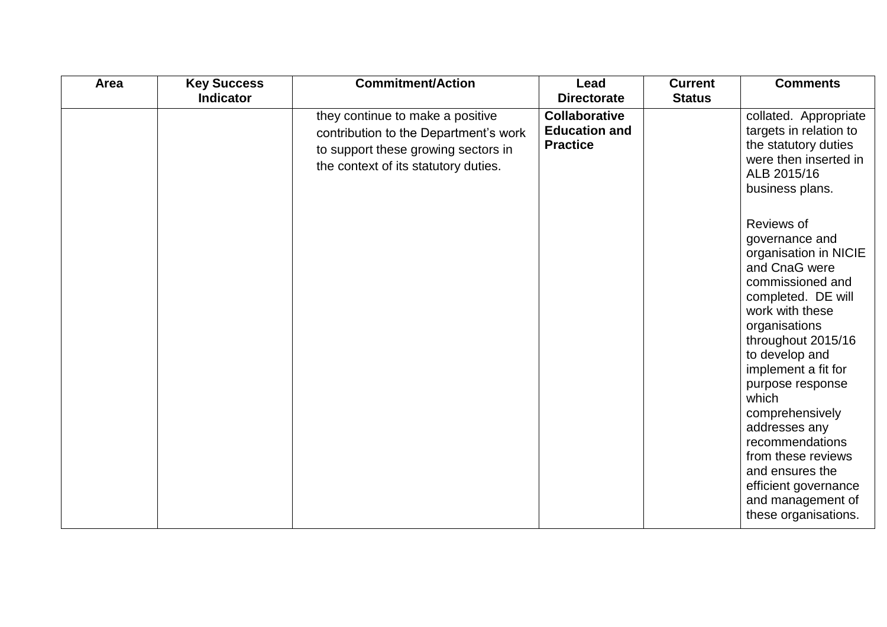| Area | <b>Key Success</b><br><b>Indicator</b> | <b>Commitment/Action</b>                                                                                                                                 | Lead<br><b>Directorate</b>                                      | <b>Current</b><br><b>Status</b> | <b>Comments</b>                                                                                                                                                                                                                                                                                                                                                                                                       |
|------|----------------------------------------|----------------------------------------------------------------------------------------------------------------------------------------------------------|-----------------------------------------------------------------|---------------------------------|-----------------------------------------------------------------------------------------------------------------------------------------------------------------------------------------------------------------------------------------------------------------------------------------------------------------------------------------------------------------------------------------------------------------------|
|      |                                        | they continue to make a positive<br>contribution to the Department's work<br>to support these growing sectors in<br>the context of its statutory duties. | <b>Collaborative</b><br><b>Education and</b><br><b>Practice</b> |                                 | collated. Appropriate<br>targets in relation to<br>the statutory duties<br>were then inserted in<br>ALB 2015/16<br>business plans.                                                                                                                                                                                                                                                                                    |
|      |                                        |                                                                                                                                                          |                                                                 |                                 | Reviews of<br>governance and<br>organisation in NICIE<br>and CnaG were<br>commissioned and<br>completed. DE will<br>work with these<br>organisations<br>throughout 2015/16<br>to develop and<br>implement a fit for<br>purpose response<br>which<br>comprehensively<br>addresses any<br>recommendations<br>from these reviews<br>and ensures the<br>efficient governance<br>and management of<br>these organisations. |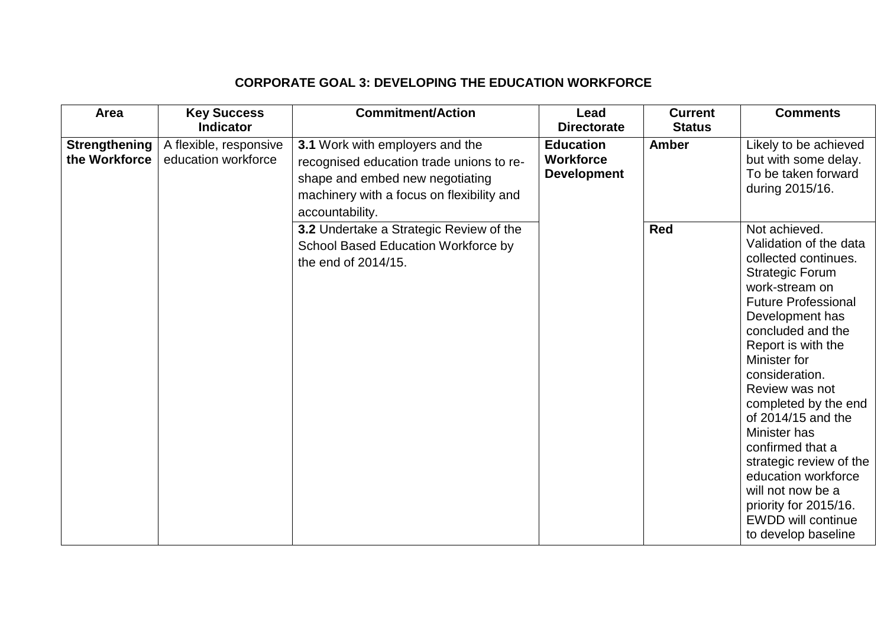# **CORPORATE GOAL 3: DEVELOPING THE EDUCATION WORKFORCE**

| Area                                  | <b>Key Success</b>                            | <b>Commitment/Action</b>                                                                                                                                                       | Lead                                                       | <b>Current</b> | <b>Comments</b>                                                                                                                                                                                                                                                                                                                                                                                                                                                                                   |
|---------------------------------------|-----------------------------------------------|--------------------------------------------------------------------------------------------------------------------------------------------------------------------------------|------------------------------------------------------------|----------------|---------------------------------------------------------------------------------------------------------------------------------------------------------------------------------------------------------------------------------------------------------------------------------------------------------------------------------------------------------------------------------------------------------------------------------------------------------------------------------------------------|
|                                       | <b>Indicator</b>                              |                                                                                                                                                                                | <b>Directorate</b>                                         | <b>Status</b>  |                                                                                                                                                                                                                                                                                                                                                                                                                                                                                                   |
| <b>Strengthening</b><br>the Workforce | A flexible, responsive<br>education workforce | 3.1 Work with employers and the<br>recognised education trade unions to re-<br>shape and embed new negotiating<br>machinery with a focus on flexibility and<br>accountability. | <b>Education</b><br><b>Workforce</b><br><b>Development</b> | <b>Amber</b>   | Likely to be achieved<br>but with some delay.<br>To be taken forward<br>during 2015/16.                                                                                                                                                                                                                                                                                                                                                                                                           |
|                                       |                                               | 3.2 Undertake a Strategic Review of the<br>School Based Education Workforce by<br>the end of 2014/15.                                                                          |                                                            | <b>Red</b>     | Not achieved.<br>Validation of the data<br>collected continues.<br><b>Strategic Forum</b><br>work-stream on<br><b>Future Professional</b><br>Development has<br>concluded and the<br>Report is with the<br>Minister for<br>consideration.<br>Review was not<br>completed by the end<br>of 2014/15 and the<br>Minister has<br>confirmed that a<br>strategic review of the<br>education workforce<br>will not now be a<br>priority for 2015/16.<br><b>EWDD will continue</b><br>to develop baseline |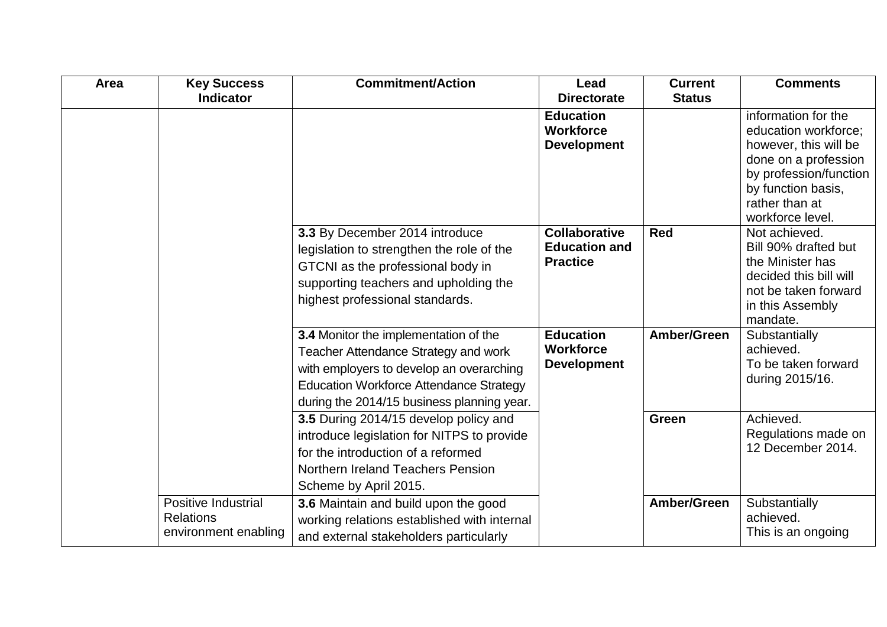| Area | <b>Key Success</b>         | <b>Commitment/Action</b>                       | Lead                 | <b>Current</b> | <b>Comments</b>                    |
|------|----------------------------|------------------------------------------------|----------------------|----------------|------------------------------------|
|      | <b>Indicator</b>           |                                                | <b>Directorate</b>   | <b>Status</b>  |                                    |
|      |                            |                                                | <b>Education</b>     |                | information for the                |
|      |                            |                                                | <b>Workforce</b>     |                | education workforce:               |
|      |                            |                                                | <b>Development</b>   |                | however, this will be              |
|      |                            |                                                |                      |                | done on a profession               |
|      |                            |                                                |                      |                | by profession/function             |
|      |                            |                                                |                      |                | by function basis,                 |
|      |                            |                                                |                      |                | rather than at<br>workforce level. |
|      |                            | 3.3 By December 2014 introduce                 | <b>Collaborative</b> | <b>Red</b>     | Not achieved.                      |
|      |                            |                                                | <b>Education and</b> |                | Bill 90% drafted but               |
|      |                            | legislation to strengthen the role of the      | <b>Practice</b>      |                | the Minister has                   |
|      |                            | GTCNI as the professional body in              |                      |                | decided this bill will             |
|      |                            | supporting teachers and upholding the          |                      |                | not be taken forward               |
|      |                            | highest professional standards.                |                      |                | in this Assembly                   |
|      |                            |                                                |                      |                | mandate.                           |
|      |                            | 3.4 Monitor the implementation of the          | <b>Education</b>     | Amber/Green    | Substantially                      |
|      |                            | Teacher Attendance Strategy and work           | <b>Workforce</b>     |                | achieved.                          |
|      |                            | with employers to develop an overarching       | <b>Development</b>   |                | To be taken forward                |
|      |                            | <b>Education Workforce Attendance Strategy</b> |                      |                | during 2015/16.                    |
|      |                            | during the 2014/15 business planning year.     |                      |                |                                    |
|      |                            | 3.5 During 2014/15 develop policy and          |                      | <b>Green</b>   | Achieved.                          |
|      |                            | introduce legislation for NITPS to provide     |                      |                | Regulations made on                |
|      |                            | for the introduction of a reformed             |                      |                | 12 December 2014.                  |
|      |                            | <b>Northern Ireland Teachers Pension</b>       |                      |                |                                    |
|      |                            | Scheme by April 2015.                          |                      |                |                                    |
|      | <b>Positive Industrial</b> | 3.6 Maintain and build upon the good           |                      | Amber/Green    | Substantially                      |
|      | <b>Relations</b>           | working relations established with internal    |                      |                | achieved.                          |
|      | environment enabling       | and external stakeholders particularly         |                      |                | This is an ongoing                 |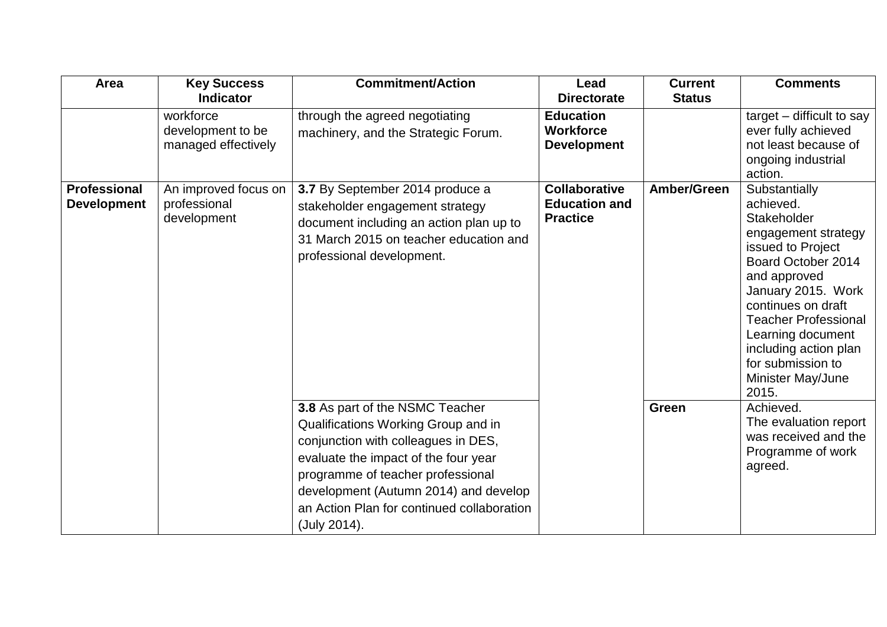| Area                | <b>Key Success</b>   | <b>Commitment/Action</b>                   | Lead                 | <b>Current</b> | <b>Comments</b>                          |
|---------------------|----------------------|--------------------------------------------|----------------------|----------------|------------------------------------------|
|                     | <b>Indicator</b>     |                                            | <b>Directorate</b>   | <b>Status</b>  |                                          |
|                     | workforce            | through the agreed negotiating             | <b>Education</b>     |                | target $-$ difficult to say              |
|                     | development to be    | machinery, and the Strategic Forum.        | <b>Workforce</b>     |                | ever fully achieved                      |
|                     | managed effectively  |                                            | <b>Development</b>   |                | not least because of                     |
|                     |                      |                                            |                      |                | ongoing industrial                       |
|                     |                      |                                            |                      |                | action.                                  |
| <b>Professional</b> | An improved focus on | 3.7 By September 2014 produce a            | <b>Collaborative</b> | Amber/Green    | Substantially                            |
| <b>Development</b>  | professional         | stakeholder engagement strategy            | <b>Education and</b> |                | achieved.                                |
|                     | development          | document including an action plan up to    | <b>Practice</b>      |                | Stakeholder                              |
|                     |                      | 31 March 2015 on teacher education and     |                      |                | engagement strategy<br>issued to Project |
|                     |                      | professional development.                  |                      |                | Board October 2014                       |
|                     |                      |                                            |                      |                | and approved                             |
|                     |                      |                                            |                      |                | January 2015. Work                       |
|                     |                      |                                            |                      |                | continues on draft                       |
|                     |                      |                                            |                      |                | <b>Teacher Professional</b>              |
|                     |                      |                                            |                      |                | Learning document                        |
|                     |                      |                                            |                      |                | including action plan                    |
|                     |                      |                                            |                      |                | for submission to                        |
|                     |                      |                                            |                      |                | Minister May/June                        |
|                     |                      |                                            |                      |                | 2015.                                    |
|                     |                      | 3.8 As part of the NSMC Teacher            |                      | Green          | Achieved.                                |
|                     |                      | Qualifications Working Group and in        |                      |                | The evaluation report                    |
|                     |                      | conjunction with colleagues in DES,        |                      |                | was received and the                     |
|                     |                      | evaluate the impact of the four year       |                      |                | Programme of work                        |
|                     |                      | programme of teacher professional          |                      |                | agreed.                                  |
|                     |                      | development (Autumn 2014) and develop      |                      |                |                                          |
|                     |                      | an Action Plan for continued collaboration |                      |                |                                          |
|                     |                      | (July 2014).                               |                      |                |                                          |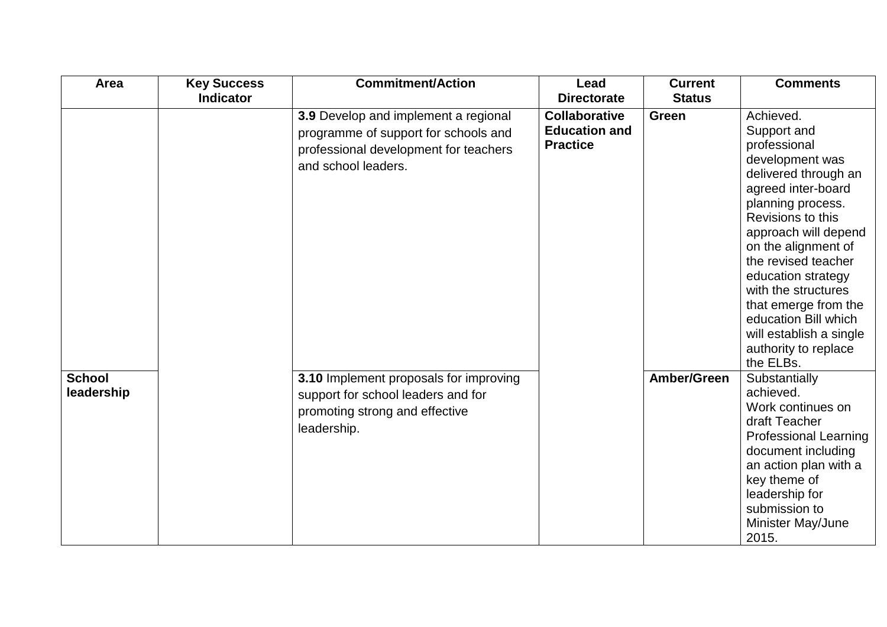| <b>Area</b>   | <b>Key Success</b> | <b>Commitment/Action</b>               | Lead                 | <b>Current</b> | <b>Comments</b>                   |
|---------------|--------------------|----------------------------------------|----------------------|----------------|-----------------------------------|
|               | <b>Indicator</b>   |                                        | <b>Directorate</b>   | <b>Status</b>  |                                   |
|               |                    | 3.9 Develop and implement a regional   | <b>Collaborative</b> | <b>Green</b>   | Achieved.                         |
|               |                    | programme of support for schools and   | <b>Education and</b> |                | Support and                       |
|               |                    | professional development for teachers  | <b>Practice</b>      |                | professional                      |
|               |                    | and school leaders.                    |                      |                | development was                   |
|               |                    |                                        |                      |                | delivered through an              |
|               |                    |                                        |                      |                | agreed inter-board                |
|               |                    |                                        |                      |                | planning process.                 |
|               |                    |                                        |                      |                | Revisions to this                 |
|               |                    |                                        |                      |                | approach will depend              |
|               |                    |                                        |                      |                | on the alignment of               |
|               |                    |                                        |                      |                | the revised teacher               |
|               |                    |                                        |                      |                | education strategy                |
|               |                    |                                        |                      |                | with the structures               |
|               |                    |                                        |                      |                | that emerge from the              |
|               |                    |                                        |                      |                | education Bill which              |
|               |                    |                                        |                      |                | will establish a single           |
|               |                    |                                        |                      |                | authority to replace<br>the ELBs. |
| <b>School</b> |                    | 3.10 Implement proposals for improving |                      | Amber/Green    | Substantially                     |
| leadership    |                    |                                        |                      |                | achieved.                         |
|               |                    | support for school leaders and for     |                      |                | Work continues on                 |
|               |                    | promoting strong and effective         |                      |                | draft Teacher                     |
|               |                    | leadership.                            |                      |                | <b>Professional Learning</b>      |
|               |                    |                                        |                      |                | document including                |
|               |                    |                                        |                      |                | an action plan with a             |
|               |                    |                                        |                      |                | key theme of                      |
|               |                    |                                        |                      |                | leadership for                    |
|               |                    |                                        |                      |                | submission to                     |
|               |                    |                                        |                      |                | Minister May/June                 |
|               |                    |                                        |                      |                | 2015.                             |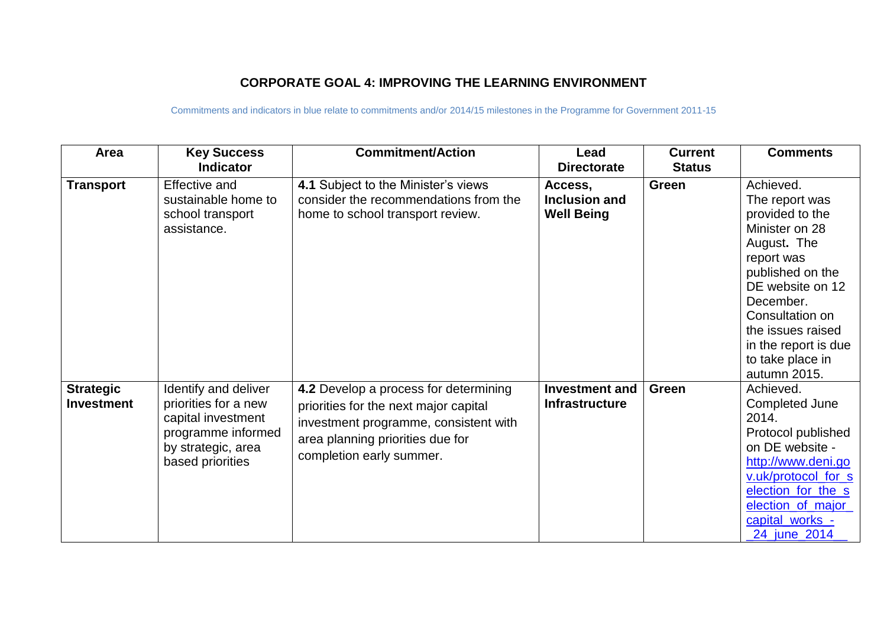### **CORPORATE GOAL 4: IMPROVING THE LEARNING ENVIRONMENT**

| Area                                  | <b>Key Success</b><br><b>Indicator</b>                                                                                             | <b>Commitment/Action</b>                                                                                                                                                                | Lead<br><b>Directorate</b>                     | <b>Current</b><br><b>Status</b> | <b>Comments</b>                                                                                                                                                                                                                                        |
|---------------------------------------|------------------------------------------------------------------------------------------------------------------------------------|-----------------------------------------------------------------------------------------------------------------------------------------------------------------------------------------|------------------------------------------------|---------------------------------|--------------------------------------------------------------------------------------------------------------------------------------------------------------------------------------------------------------------------------------------------------|
| <b>Transport</b>                      | <b>Effective and</b><br>sustainable home to<br>school transport<br>assistance.                                                     | 4.1 Subject to the Minister's views<br>consider the recommendations from the<br>home to school transport review.                                                                        | Access,<br>Inclusion and<br><b>Well Being</b>  | <b>Green</b>                    | Achieved.<br>The report was<br>provided to the<br>Minister on 28<br>August. The<br>report was<br>published on the<br>DE website on 12<br>December.<br>Consultation on<br>the issues raised<br>in the report is due<br>to take place in<br>autumn 2015. |
| <b>Strategic</b><br><b>Investment</b> | Identify and deliver<br>priorities for a new<br>capital investment<br>programme informed<br>by strategic, area<br>based priorities | 4.2 Develop a process for determining<br>priorities for the next major capital<br>investment programme, consistent with<br>area planning priorities due for<br>completion early summer. | <b>Investment and</b><br><b>Infrastructure</b> | Green                           | Achieved.<br>Completed June<br>2014.<br>Protocol published<br>on DE website -<br>http://www.deni.go<br>v.uk/protocol_for_s<br>election for the s<br>election of major<br>capital_works_-<br>24 june 2014                                               |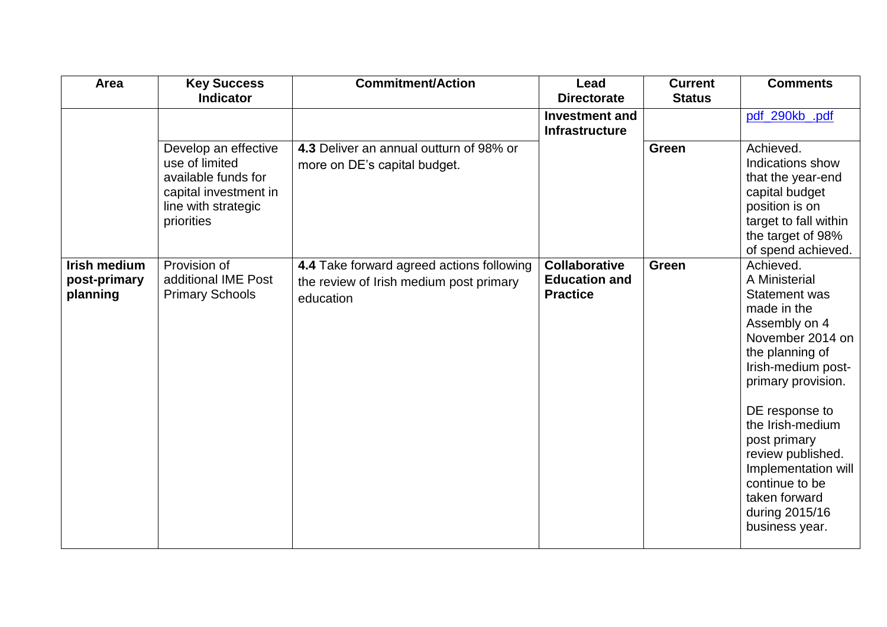| Area                                            | <b>Key Success</b>                                                                                                          | <b>Commitment/Action</b>                                                                          | Lead                                                            | <b>Current</b> | <b>Comments</b>                                                                                                                                                                                                                                                                                                                                |
|-------------------------------------------------|-----------------------------------------------------------------------------------------------------------------------------|---------------------------------------------------------------------------------------------------|-----------------------------------------------------------------|----------------|------------------------------------------------------------------------------------------------------------------------------------------------------------------------------------------------------------------------------------------------------------------------------------------------------------------------------------------------|
|                                                 | <b>Indicator</b>                                                                                                            |                                                                                                   | <b>Directorate</b>                                              | <b>Status</b>  |                                                                                                                                                                                                                                                                                                                                                |
|                                                 |                                                                                                                             |                                                                                                   | <b>Investment and</b><br><b>Infrastructure</b>                  |                | pdf_290kb_.pdf                                                                                                                                                                                                                                                                                                                                 |
|                                                 | Develop an effective<br>use of limited<br>available funds for<br>capital investment in<br>line with strategic<br>priorities | 4.3 Deliver an annual outturn of 98% or<br>more on DE's capital budget.                           |                                                                 | Green          | Achieved.<br>Indications show<br>that the year-end<br>capital budget<br>position is on<br>target to fall within<br>the target of 98%<br>of spend achieved.                                                                                                                                                                                     |
| <b>Irish medium</b><br>post-primary<br>planning | Provision of<br>additional IME Post<br><b>Primary Schools</b>                                                               | 4.4 Take forward agreed actions following<br>the review of Irish medium post primary<br>education | <b>Collaborative</b><br><b>Education and</b><br><b>Practice</b> | Green          | Achieved.<br>A Ministerial<br><b>Statement was</b><br>made in the<br>Assembly on 4<br>November 2014 on<br>the planning of<br>Irish-medium post-<br>primary provision.<br>DE response to<br>the Irish-medium<br>post primary<br>review published.<br>Implementation will<br>continue to be<br>taken forward<br>during 2015/16<br>business year. |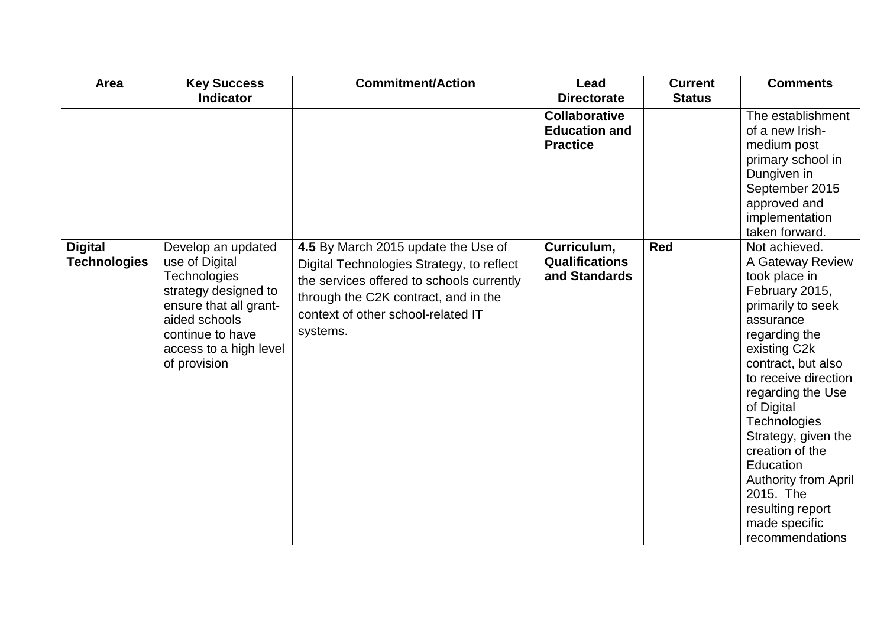| <b>Area</b>         | <b>Key Success</b>     | <b>Commitment/Action</b>                  | Lead                  | <b>Current</b> | <b>Comments</b>             |
|---------------------|------------------------|-------------------------------------------|-----------------------|----------------|-----------------------------|
|                     | <b>Indicator</b>       |                                           | <b>Directorate</b>    | <b>Status</b>  |                             |
|                     |                        |                                           | <b>Collaborative</b>  |                | The establishment           |
|                     |                        |                                           | <b>Education and</b>  |                | of a new Irish-             |
|                     |                        |                                           | <b>Practice</b>       |                | medium post                 |
|                     |                        |                                           |                       |                | primary school in           |
|                     |                        |                                           |                       |                | Dungiven in                 |
|                     |                        |                                           |                       |                | September 2015              |
|                     |                        |                                           |                       |                | approved and                |
|                     |                        |                                           |                       |                | implementation              |
|                     |                        |                                           |                       |                | taken forward.              |
| <b>Digital</b>      | Develop an updated     | 4.5 By March 2015 update the Use of       | Curriculum,           | <b>Red</b>     | Not achieved.               |
| <b>Technologies</b> | use of Digital         | Digital Technologies Strategy, to reflect | <b>Qualifications</b> |                | A Gateway Review            |
|                     | Technologies           | the services offered to schools currently | and Standards         |                | took place in               |
|                     | strategy designed to   | through the C2K contract, and in the      |                       |                | February 2015,              |
|                     | ensure that all grant- | context of other school-related IT        |                       |                | primarily to seek           |
|                     | aided schools          |                                           |                       |                | assurance                   |
|                     | continue to have       | systems.                                  |                       |                | regarding the               |
|                     | access to a high level |                                           |                       |                | existing C2k                |
|                     | of provision           |                                           |                       |                | contract, but also          |
|                     |                        |                                           |                       |                | to receive direction        |
|                     |                        |                                           |                       |                | regarding the Use           |
|                     |                        |                                           |                       |                | of Digital                  |
|                     |                        |                                           |                       |                | Technologies                |
|                     |                        |                                           |                       |                | Strategy, given the         |
|                     |                        |                                           |                       |                | creation of the             |
|                     |                        |                                           |                       |                | Education                   |
|                     |                        |                                           |                       |                | <b>Authority from April</b> |
|                     |                        |                                           |                       |                | 2015. The                   |
|                     |                        |                                           |                       |                | resulting report            |
|                     |                        |                                           |                       |                | made specific               |
|                     |                        |                                           |                       |                | recommendations             |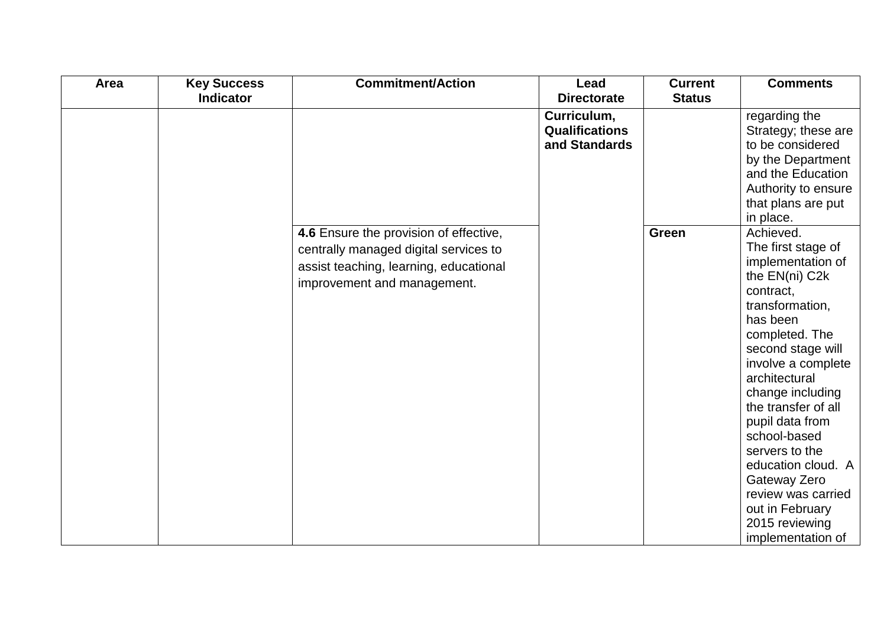| Area | <b>Key Success</b> | <b>Commitment/Action</b>               | Lead                  | <b>Current</b> | <b>Comments</b>                         |
|------|--------------------|----------------------------------------|-----------------------|----------------|-----------------------------------------|
|      | <b>Indicator</b>   |                                        | <b>Directorate</b>    | <b>Status</b>  |                                         |
|      |                    |                                        | Curriculum,           |                | regarding the                           |
|      |                    |                                        | <b>Qualifications</b> |                | Strategy; these are                     |
|      |                    |                                        | and Standards         |                | to be considered                        |
|      |                    |                                        |                       |                | by the Department                       |
|      |                    |                                        |                       |                | and the Education                       |
|      |                    |                                        |                       |                | Authority to ensure                     |
|      |                    |                                        |                       |                | that plans are put                      |
|      |                    |                                        |                       |                | in place.                               |
|      |                    | 4.6 Ensure the provision of effective, |                       | <b>Green</b>   | Achieved.                               |
|      |                    | centrally managed digital services to  |                       |                | The first stage of                      |
|      |                    | assist teaching, learning, educational |                       |                | implementation of                       |
|      |                    | improvement and management.            |                       |                | the EN(ni) C2k                          |
|      |                    |                                        |                       |                | contract,                               |
|      |                    |                                        |                       |                | transformation,                         |
|      |                    |                                        |                       |                | has been                                |
|      |                    |                                        |                       |                | completed. The                          |
|      |                    |                                        |                       |                | second stage will                       |
|      |                    |                                        |                       |                | involve a complete                      |
|      |                    |                                        |                       |                | architectural                           |
|      |                    |                                        |                       |                | change including<br>the transfer of all |
|      |                    |                                        |                       |                |                                         |
|      |                    |                                        |                       |                | pupil data from<br>school-based         |
|      |                    |                                        |                       |                |                                         |
|      |                    |                                        |                       |                | servers to the                          |
|      |                    |                                        |                       |                | education cloud. A                      |
|      |                    |                                        |                       |                | Gateway Zero<br>review was carried      |
|      |                    |                                        |                       |                |                                         |
|      |                    |                                        |                       |                | out in February                         |
|      |                    |                                        |                       |                | 2015 reviewing                          |
|      |                    |                                        |                       |                | implementation of                       |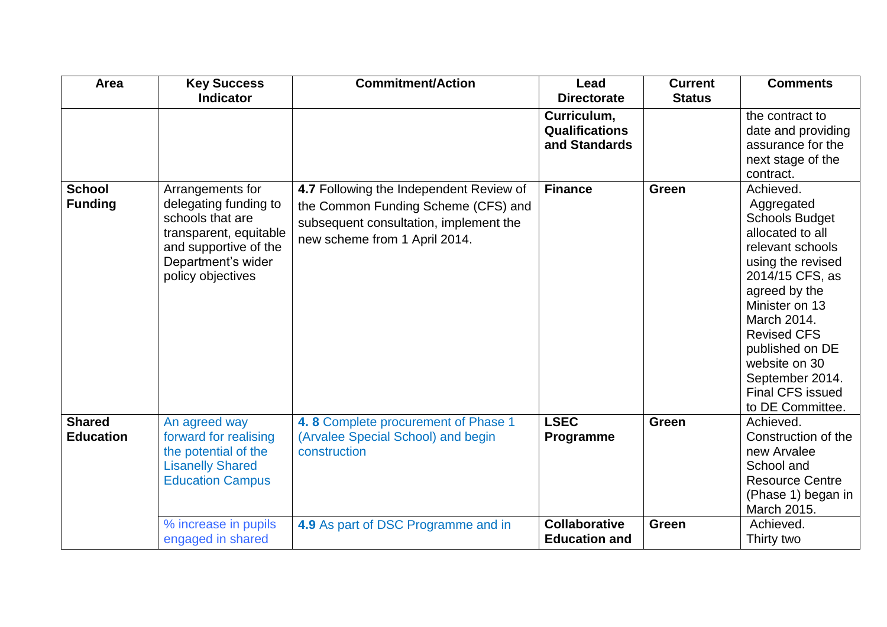| Area                              | <b>Key Success</b>                                                                                                                                          | <b>Commitment/Action</b>                                                                                                                                  | Lead                                                  | <b>Current</b> | <b>Comments</b>                                                                                                                                                                                                                                                                                                |
|-----------------------------------|-------------------------------------------------------------------------------------------------------------------------------------------------------------|-----------------------------------------------------------------------------------------------------------------------------------------------------------|-------------------------------------------------------|----------------|----------------------------------------------------------------------------------------------------------------------------------------------------------------------------------------------------------------------------------------------------------------------------------------------------------------|
|                                   | <b>Indicator</b>                                                                                                                                            |                                                                                                                                                           | <b>Directorate</b>                                    | <b>Status</b>  |                                                                                                                                                                                                                                                                                                                |
|                                   |                                                                                                                                                             |                                                                                                                                                           | Curriculum,<br><b>Qualifications</b><br>and Standards |                | the contract to<br>date and providing<br>assurance for the<br>next stage of the<br>contract.                                                                                                                                                                                                                   |
| <b>School</b><br><b>Funding</b>   | Arrangements for<br>delegating funding to<br>schools that are<br>transparent, equitable<br>and supportive of the<br>Department's wider<br>policy objectives | 4.7 Following the Independent Review of<br>the Common Funding Scheme (CFS) and<br>subsequent consultation, implement the<br>new scheme from 1 April 2014. | <b>Finance</b>                                        | <b>Green</b>   | Achieved.<br>Aggregated<br><b>Schools Budget</b><br>allocated to all<br>relevant schools<br>using the revised<br>2014/15 CFS, as<br>agreed by the<br>Minister on 13<br>March 2014.<br><b>Revised CFS</b><br>published on DE<br>website on 30<br>September 2014.<br><b>Final CFS issued</b><br>to DE Committee. |
| <b>Shared</b><br><b>Education</b> | An agreed way<br>forward for realising<br>the potential of the<br><b>Lisanelly Shared</b><br><b>Education Campus</b>                                        | 4.8 Complete procurement of Phase 1<br>(Arvalee Special School) and begin<br>construction                                                                 | <b>LSEC</b><br>Programme                              | Green          | Achieved.<br>Construction of the<br>new Arvalee<br>School and<br><b>Resource Centre</b><br>(Phase 1) began in<br>March 2015.                                                                                                                                                                                   |
|                                   | % increase in pupils<br>engaged in shared                                                                                                                   | 4.9 As part of DSC Programme and in                                                                                                                       | <b>Collaborative</b><br><b>Education and</b>          | <b>Green</b>   | Achieved.<br>Thirty two                                                                                                                                                                                                                                                                                        |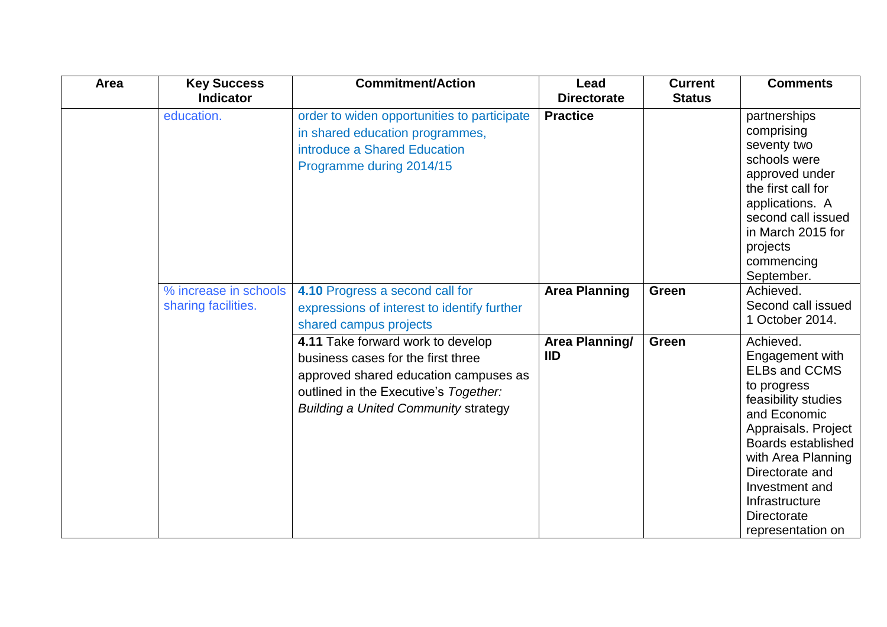| Area | <b>Key Success</b>                           | <b>Commitment/Action</b>                                                                                                                                                                                 | Lead                         | <b>Current</b> | <b>Comments</b>                                                                                                                                                                                                                                                                 |
|------|----------------------------------------------|----------------------------------------------------------------------------------------------------------------------------------------------------------------------------------------------------------|------------------------------|----------------|---------------------------------------------------------------------------------------------------------------------------------------------------------------------------------------------------------------------------------------------------------------------------------|
|      | <b>Indicator</b>                             |                                                                                                                                                                                                          | <b>Directorate</b>           | <b>Status</b>  |                                                                                                                                                                                                                                                                                 |
|      | education.                                   | order to widen opportunities to participate<br>in shared education programmes,<br>introduce a Shared Education<br>Programme during 2014/15                                                               | <b>Practice</b>              |                | partnerships<br>comprising<br>seventy two<br>schools were<br>approved under<br>the first call for<br>applications. A<br>second call issued<br>in March 2015 for<br>projects<br>commencing<br>September.                                                                         |
|      | % increase in schools<br>sharing facilities. | 4.10 Progress a second call for<br>expressions of interest to identify further<br>shared campus projects                                                                                                 | <b>Area Planning</b>         | Green          | Achieved.<br>Second call issued<br>1 October 2014.                                                                                                                                                                                                                              |
|      |                                              | 4.11 Take forward work to develop<br>business cases for the first three<br>approved shared education campuses as<br>outlined in the Executive's Together:<br><b>Building a United Community strategy</b> | Area Planning/<br><b>IID</b> | Green          | Achieved.<br>Engagement with<br><b>ELBs and CCMS</b><br>to progress<br>feasibility studies<br>and Economic<br>Appraisals. Project<br>Boards established<br>with Area Planning<br>Directorate and<br>Investment and<br>Infrastructure<br><b>Directorate</b><br>representation on |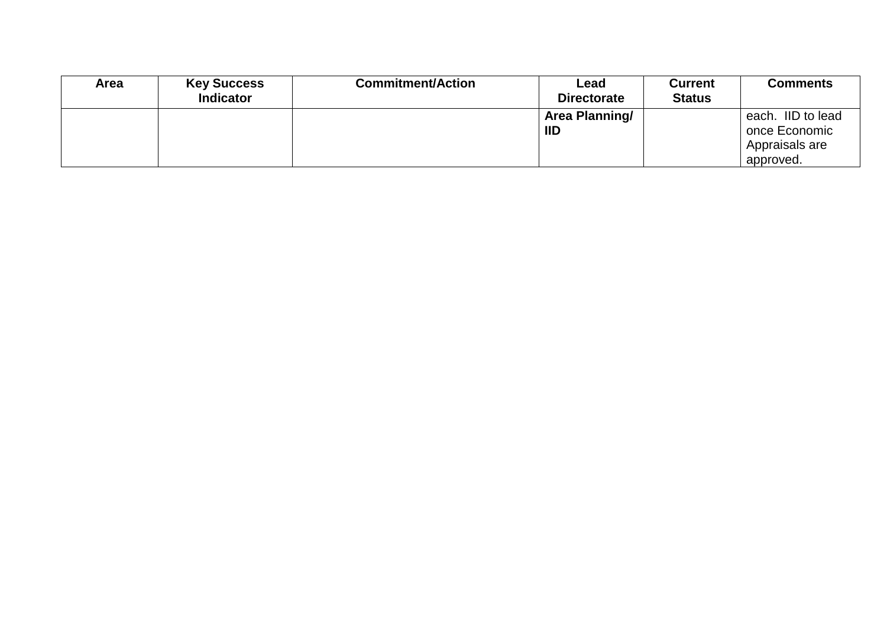| Area | <b>Key Success</b> | <b>Commitment/Action</b> | Lead               | <b>Current</b> | <b>Comments</b>   |
|------|--------------------|--------------------------|--------------------|----------------|-------------------|
|      | <b>Indicator</b>   |                          | <b>Directorate</b> | <b>Status</b>  |                   |
|      |                    |                          | Area Planning/     |                | each. IID to lead |
|      |                    |                          | <b>IID</b>         |                | once Economic     |
|      |                    |                          |                    |                | Appraisals are    |
|      |                    |                          |                    |                | approved.         |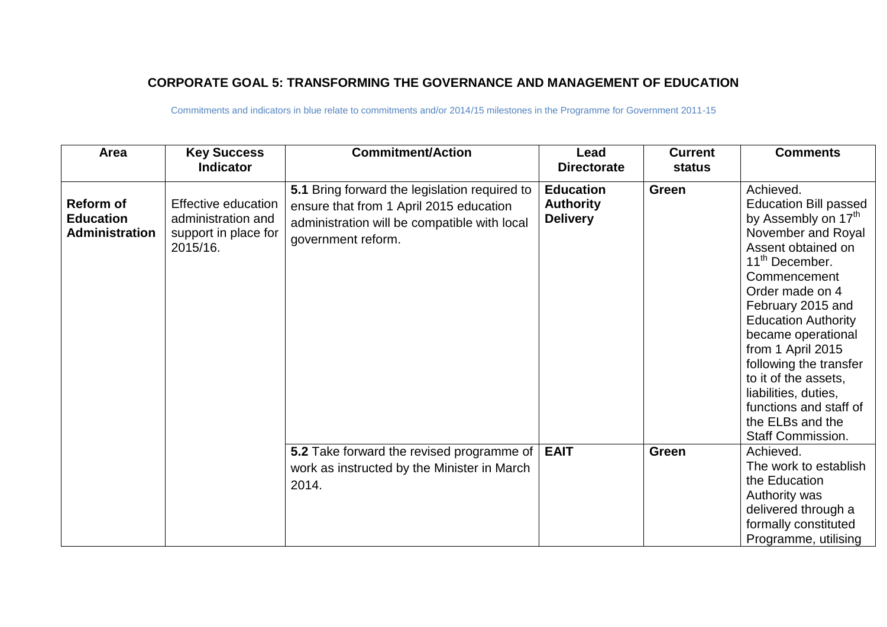## **CORPORATE GOAL 5: TRANSFORMING THE GOVERNANCE AND MANAGEMENT OF EDUCATION**

| Area                                                   | <b>Key Success</b><br><b>Indicator</b>                                               | <b>Commitment/Action</b>                                                                                                                                       | Lead<br><b>Directorate</b>                              | <b>Current</b><br>status | <b>Comments</b>                                                                                                                                                                                                                                                                                                                                                                                                                             |
|--------------------------------------------------------|--------------------------------------------------------------------------------------|----------------------------------------------------------------------------------------------------------------------------------------------------------------|---------------------------------------------------------|--------------------------|---------------------------------------------------------------------------------------------------------------------------------------------------------------------------------------------------------------------------------------------------------------------------------------------------------------------------------------------------------------------------------------------------------------------------------------------|
| Reform of<br><b>Education</b><br><b>Administration</b> | <b>Effective education</b><br>administration and<br>support in place for<br>2015/16. | 5.1 Bring forward the legislation required to<br>ensure that from 1 April 2015 education<br>administration will be compatible with local<br>government reform. | <b>Education</b><br><b>Authority</b><br><b>Delivery</b> | Green                    | Achieved.<br><b>Education Bill passed</b><br>by Assembly on 17 <sup>th</sup><br>November and Royal<br>Assent obtained on<br>11 <sup>th</sup> December.<br>Commencement<br>Order made on 4<br>February 2015 and<br><b>Education Authority</b><br>became operational<br>from 1 April 2015<br>following the transfer<br>to it of the assets,<br>liabilities, duties,<br>functions and staff of<br>the ELBs and the<br><b>Staff Commission.</b> |
|                                                        |                                                                                      | 5.2 Take forward the revised programme of   EAIT<br>work as instructed by the Minister in March<br>2014.                                                       |                                                         | Green                    | Achieved.<br>The work to establish<br>the Education<br>Authority was<br>delivered through a<br>formally constituted<br>Programme, utilising                                                                                                                                                                                                                                                                                                 |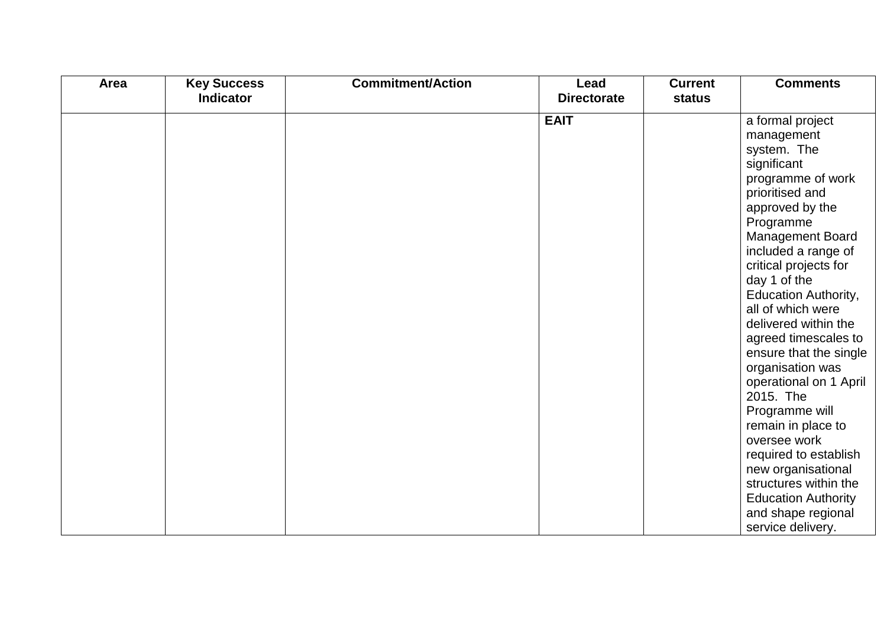| Area | <b>Key Success</b> | <b>Commitment/Action</b> | Lead                              | <b>Current</b> | <b>Comments</b>                                                                                                                                                                                                                                                                                                                                                                                                                                                                                                                                                                                              |
|------|--------------------|--------------------------|-----------------------------------|----------------|--------------------------------------------------------------------------------------------------------------------------------------------------------------------------------------------------------------------------------------------------------------------------------------------------------------------------------------------------------------------------------------------------------------------------------------------------------------------------------------------------------------------------------------------------------------------------------------------------------------|
|      | <b>Indicator</b>   |                          | <b>Directorate</b><br><b>EAIT</b> | status         | a formal project<br>management<br>system. The<br>significant<br>programme of work<br>prioritised and<br>approved by the<br>Programme<br><b>Management Board</b><br>included a range of<br>critical projects for<br>day 1 of the<br><b>Education Authority,</b><br>all of which were<br>delivered within the<br>agreed timescales to<br>ensure that the single<br>organisation was<br>operational on 1 April<br>2015. The<br>Programme will<br>remain in place to<br>oversee work<br>required to establish<br>new organisational<br>structures within the<br><b>Education Authority</b><br>and shape regional |
|      |                    |                          |                                   |                | service delivery.                                                                                                                                                                                                                                                                                                                                                                                                                                                                                                                                                                                            |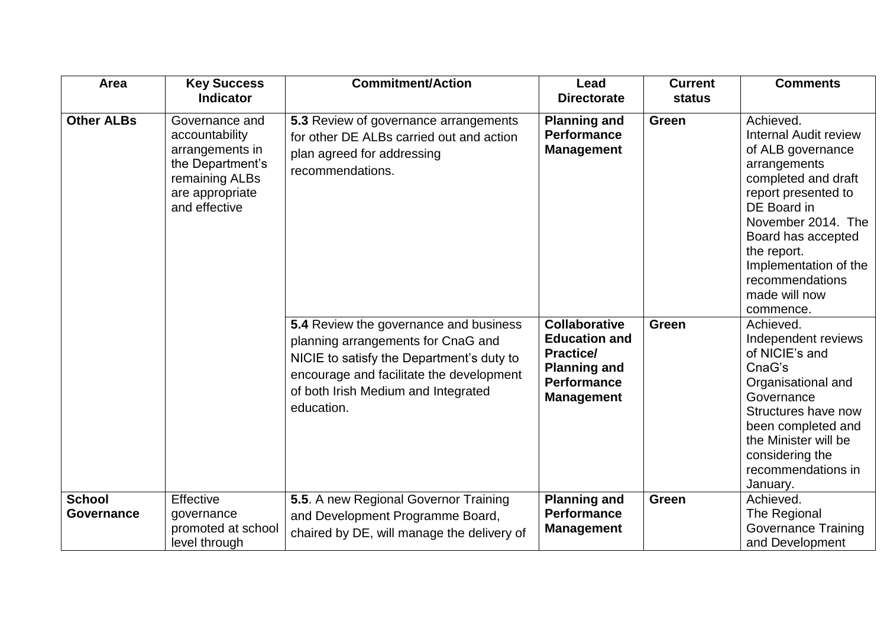| Area                        | <b>Key Success</b><br><b>Indicator</b>                                                                                        | <b>Commitment/Action</b>                                                                                                                                                                                                          | Lead<br><b>Directorate</b>                                                                                                         | <b>Current</b><br><b>status</b> | <b>Comments</b>                                                                                                                                                                                                                                                                  |
|-----------------------------|-------------------------------------------------------------------------------------------------------------------------------|-----------------------------------------------------------------------------------------------------------------------------------------------------------------------------------------------------------------------------------|------------------------------------------------------------------------------------------------------------------------------------|---------------------------------|----------------------------------------------------------------------------------------------------------------------------------------------------------------------------------------------------------------------------------------------------------------------------------|
| <b>Other ALBs</b>           | Governance and<br>accountability<br>arrangements in<br>the Department's<br>remaining ALBs<br>are appropriate<br>and effective | 5.3 Review of governance arrangements<br>for other DE ALBs carried out and action<br>plan agreed for addressing<br>recommendations.                                                                                               | <b>Planning and</b><br><b>Performance</b><br><b>Management</b>                                                                     | Green                           | Achieved.<br><b>Internal Audit review</b><br>of ALB governance<br>arrangements<br>completed and draft<br>report presented to<br>DE Board in<br>November 2014. The<br>Board has accepted<br>the report.<br>Implementation of the<br>recommendations<br>made will now<br>commence. |
|                             |                                                                                                                               | <b>5.4</b> Review the governance and business<br>planning arrangements for CnaG and<br>NICIE to satisfy the Department's duty to<br>encourage and facilitate the development<br>of both Irish Medium and Integrated<br>education. | <b>Collaborative</b><br><b>Education and</b><br><b>Practice/</b><br><b>Planning and</b><br><b>Performance</b><br><b>Management</b> | Green                           | Achieved.<br>Independent reviews<br>of NICIE's and<br>CnaG's<br>Organisational and<br>Governance<br>Structures have now<br>been completed and<br>the Minister will be<br>considering the<br>recommendations in<br>January.                                                       |
| <b>School</b><br>Governance | Effective<br>governance<br>promoted at school<br>level through                                                                | 5.5. A new Regional Governor Training<br>and Development Programme Board,<br>chaired by DE, will manage the delivery of                                                                                                           | <b>Planning and</b><br><b>Performance</b><br><b>Management</b>                                                                     | <b>Green</b>                    | Achieved.<br>The Regional<br><b>Governance Training</b><br>and Development                                                                                                                                                                                                       |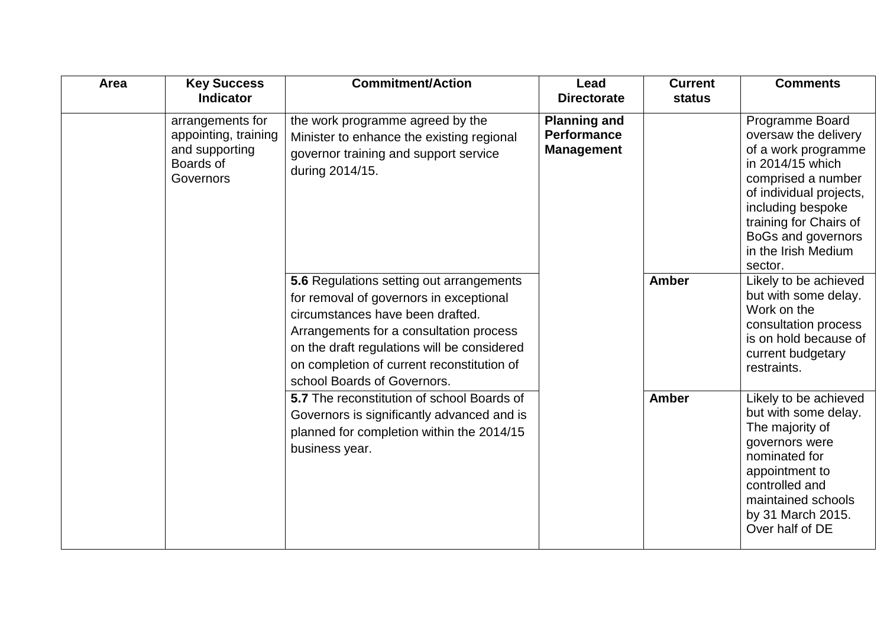| Area | <b>Key Success</b><br><b>Indicator</b>                                               | <b>Commitment/Action</b>                                                                                                                                                                                                                                                                       | Lead<br><b>Directorate</b>                                     | <b>Current</b><br>status | <b>Comments</b>                                                                                                                                                                                                                            |
|------|--------------------------------------------------------------------------------------|------------------------------------------------------------------------------------------------------------------------------------------------------------------------------------------------------------------------------------------------------------------------------------------------|----------------------------------------------------------------|--------------------------|--------------------------------------------------------------------------------------------------------------------------------------------------------------------------------------------------------------------------------------------|
|      | arrangements for<br>appointing, training<br>and supporting<br>Boards of<br>Governors | the work programme agreed by the<br>Minister to enhance the existing regional<br>governor training and support service<br>during 2014/15.                                                                                                                                                      | <b>Planning and</b><br><b>Performance</b><br><b>Management</b> |                          | Programme Board<br>oversaw the delivery<br>of a work programme<br>in 2014/15 which<br>comprised a number<br>of individual projects,<br>including bespoke<br>training for Chairs of<br>BoGs and governors<br>in the Irish Medium<br>sector. |
|      |                                                                                      | 5.6 Regulations setting out arrangements<br>for removal of governors in exceptional<br>circumstances have been drafted.<br>Arrangements for a consultation process<br>on the draft regulations will be considered<br>on completion of current reconstitution of<br>school Boards of Governors. |                                                                | <b>Amber</b>             | Likely to be achieved<br>but with some delay.<br>Work on the<br>consultation process<br>is on hold because of<br>current budgetary<br>restraints.                                                                                          |
|      |                                                                                      | 5.7 The reconstitution of school Boards of<br>Governors is significantly advanced and is<br>planned for completion within the 2014/15<br>business year.                                                                                                                                        |                                                                | <b>Amber</b>             | Likely to be achieved<br>but with some delay.<br>The majority of<br>governors were<br>nominated for<br>appointment to<br>controlled and<br>maintained schools<br>by 31 March 2015.<br>Over half of DE                                      |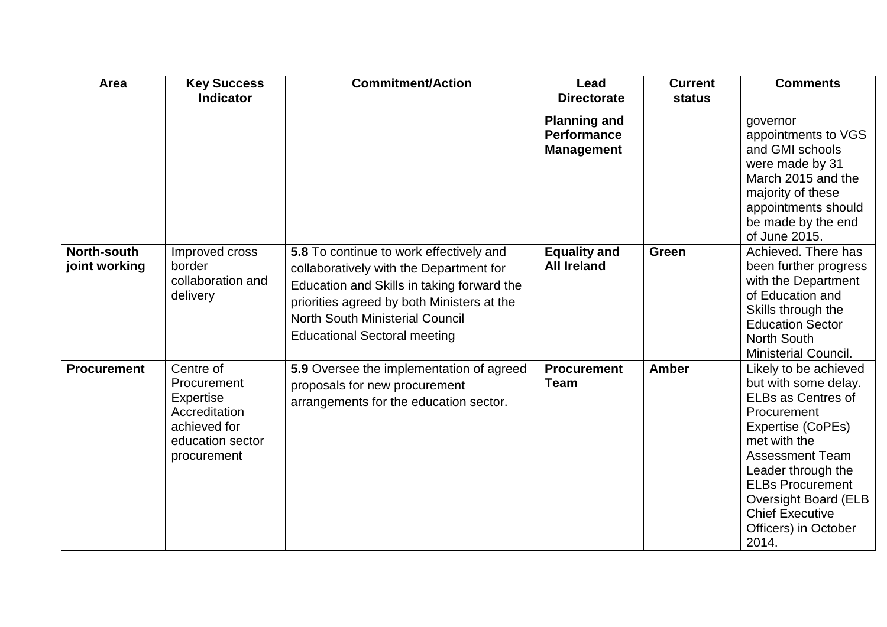| Area                                | <b>Key Success</b><br><b>Indicator</b>                                                                           | <b>Commitment/Action</b>                                                                                                                                                                                                                                        | Lead<br><b>Directorate</b>                                     | <b>Current</b><br><b>status</b> | <b>Comments</b>                                                                                                                                                                                                                                                                                     |
|-------------------------------------|------------------------------------------------------------------------------------------------------------------|-----------------------------------------------------------------------------------------------------------------------------------------------------------------------------------------------------------------------------------------------------------------|----------------------------------------------------------------|---------------------------------|-----------------------------------------------------------------------------------------------------------------------------------------------------------------------------------------------------------------------------------------------------------------------------------------------------|
|                                     |                                                                                                                  |                                                                                                                                                                                                                                                                 | <b>Planning and</b><br><b>Performance</b><br><b>Management</b> |                                 | governor<br>appointments to VGS<br>and GMI schools<br>were made by 31<br>March 2015 and the<br>majority of these<br>appointments should<br>be made by the end<br>of June 2015.                                                                                                                      |
| <b>North-south</b><br>joint working | Improved cross<br>border<br>collaboration and<br>delivery                                                        | 5.8 To continue to work effectively and<br>collaboratively with the Department for<br>Education and Skills in taking forward the<br>priorities agreed by both Ministers at the<br><b>North South Ministerial Council</b><br><b>Educational Sectoral meeting</b> | <b>Equality and</b><br><b>All Ireland</b>                      | <b>Green</b>                    | Achieved. There has<br>been further progress<br>with the Department<br>of Education and<br>Skills through the<br><b>Education Sector</b><br><b>North South</b><br><b>Ministerial Council.</b>                                                                                                       |
| <b>Procurement</b>                  | Centre of<br>Procurement<br><b>Expertise</b><br>Accreditation<br>achieved for<br>education sector<br>procurement | 5.9 Oversee the implementation of agreed<br>proposals for new procurement<br>arrangements for the education sector.                                                                                                                                             | <b>Procurement</b><br><b>Team</b>                              | <b>Amber</b>                    | Likely to be achieved<br>but with some delay.<br><b>ELBs as Centres of</b><br>Procurement<br>Expertise (CoPEs)<br>met with the<br><b>Assessment Team</b><br>Leader through the<br><b>ELBs Procurement</b><br><b>Oversight Board (ELB</b><br><b>Chief Executive</b><br>Officers) in October<br>2014. |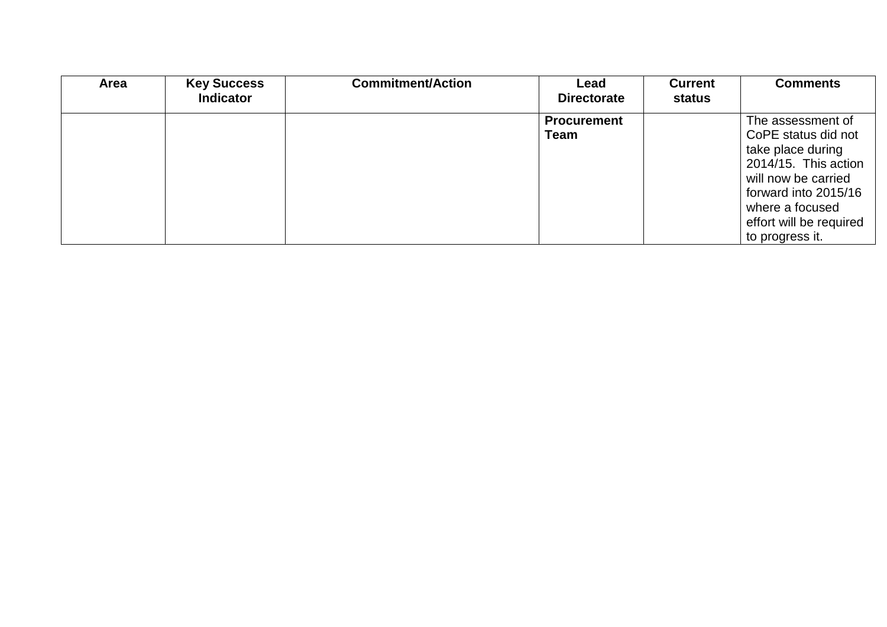| <b>Area</b> | <b>Key Success</b> | <b>Commitment/Action</b> | Lead               | <b>Current</b> | <b>Comments</b>         |
|-------------|--------------------|--------------------------|--------------------|----------------|-------------------------|
|             | <b>Indicator</b>   |                          | <b>Directorate</b> | status         |                         |
|             |                    |                          | <b>Procurement</b> |                | The assessment of       |
|             |                    |                          | <b>Team</b>        |                | CoPE status did not     |
|             |                    |                          |                    |                | take place during       |
|             |                    |                          |                    |                | 2014/15. This action    |
|             |                    |                          |                    |                | will now be carried     |
|             |                    |                          |                    |                | forward into 2015/16    |
|             |                    |                          |                    |                | where a focused         |
|             |                    |                          |                    |                | effort will be required |
|             |                    |                          |                    |                | to progress it.         |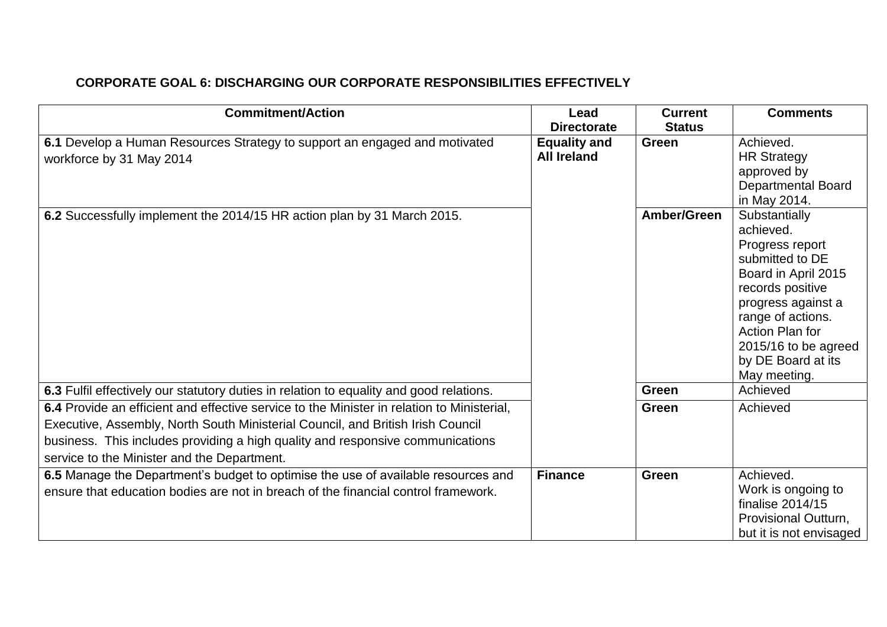# **CORPORATE GOAL 6: DISCHARGING OUR CORPORATE RESPONSIBILITIES EFFECTIVELY**

| <b>Commitment/Action</b>                                                                                                                                                                                                                                                                                       | Lead<br><b>Directorate</b>                | <b>Current</b><br><b>Status</b> | <b>Comments</b>                                                                                                                                                                                                                         |
|----------------------------------------------------------------------------------------------------------------------------------------------------------------------------------------------------------------------------------------------------------------------------------------------------------------|-------------------------------------------|---------------------------------|-----------------------------------------------------------------------------------------------------------------------------------------------------------------------------------------------------------------------------------------|
| 6.1 Develop a Human Resources Strategy to support an engaged and motivated<br>workforce by 31 May 2014                                                                                                                                                                                                         | <b>Equality and</b><br><b>All Ireland</b> | Green                           | Achieved.<br><b>HR Strategy</b><br>approved by<br><b>Departmental Board</b><br>in May 2014.                                                                                                                                             |
| 6.2 Successfully implement the 2014/15 HR action plan by 31 March 2015.                                                                                                                                                                                                                                        |                                           | Amber/Green                     | Substantially<br>achieved.<br>Progress report<br>submitted to DE<br>Board in April 2015<br>records positive<br>progress against a<br>range of actions.<br>Action Plan for<br>2015/16 to be agreed<br>by DE Board at its<br>May meeting. |
| 6.3 Fulfil effectively our statutory duties in relation to equality and good relations.                                                                                                                                                                                                                        |                                           | Green                           | Achieved                                                                                                                                                                                                                                |
| 6.4 Provide an efficient and effective service to the Minister in relation to Ministerial,<br>Executive, Assembly, North South Ministerial Council, and British Irish Council<br>business. This includes providing a high quality and responsive communications<br>service to the Minister and the Department. |                                           | <b>Green</b>                    | Achieved                                                                                                                                                                                                                                |
| 6.5 Manage the Department's budget to optimise the use of available resources and<br>ensure that education bodies are not in breach of the financial control framework.                                                                                                                                        | <b>Finance</b>                            | Green                           | Achieved.<br>Work is ongoing to<br>finalise 2014/15<br>Provisional Outturn,<br>but it is not envisaged                                                                                                                                  |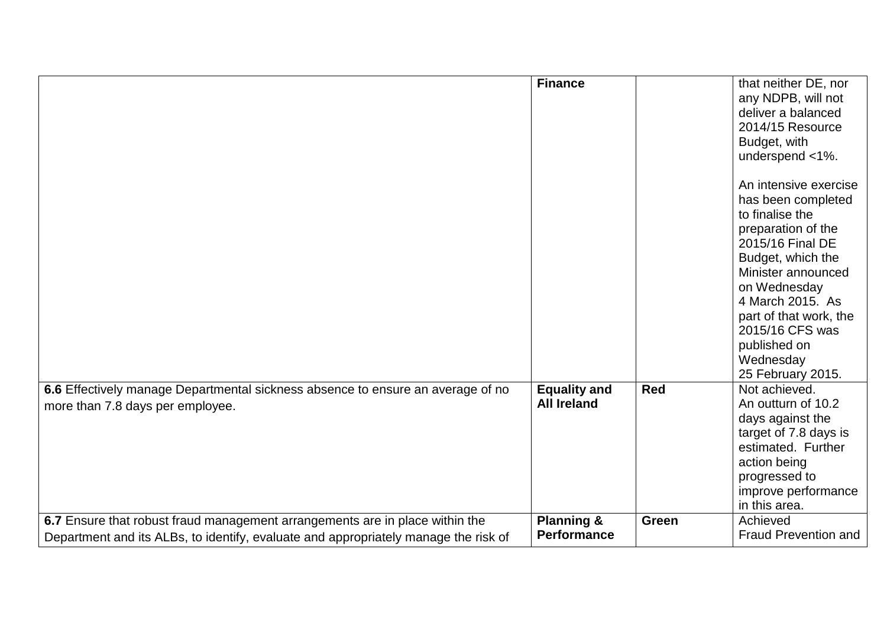|                                                                                                                                                                     | <b>Finance</b>                              |            | that neither DE, nor<br>any NDPB, will not<br>deliver a balanced<br>2014/15 Resource<br>Budget, with<br>underspend <1%.<br>An intensive exercise<br>has been completed<br>to finalise the<br>preparation of the<br>2015/16 Final DE<br>Budget, which the<br>Minister announced<br>on Wednesday<br>4 March 2015. As<br>part of that work, the<br>2015/16 CFS was<br>published on<br>Wednesday<br>25 February 2015. |
|---------------------------------------------------------------------------------------------------------------------------------------------------------------------|---------------------------------------------|------------|-------------------------------------------------------------------------------------------------------------------------------------------------------------------------------------------------------------------------------------------------------------------------------------------------------------------------------------------------------------------------------------------------------------------|
| 6.6 Effectively manage Departmental sickness absence to ensure an average of no<br>more than 7.8 days per employee.                                                 | <b>Equality and</b><br><b>All Ireland</b>   | <b>Red</b> | Not achieved.<br>An outturn of 10.2<br>days against the<br>target of 7.8 days is<br>estimated. Further<br>action being<br>progressed to<br>improve performance<br>in this area.                                                                                                                                                                                                                                   |
| 6.7 Ensure that robust fraud management arrangements are in place within the<br>Department and its ALBs, to identify, evaluate and appropriately manage the risk of | <b>Planning &amp;</b><br><b>Performance</b> | Green      | Achieved<br><b>Fraud Prevention and</b>                                                                                                                                                                                                                                                                                                                                                                           |